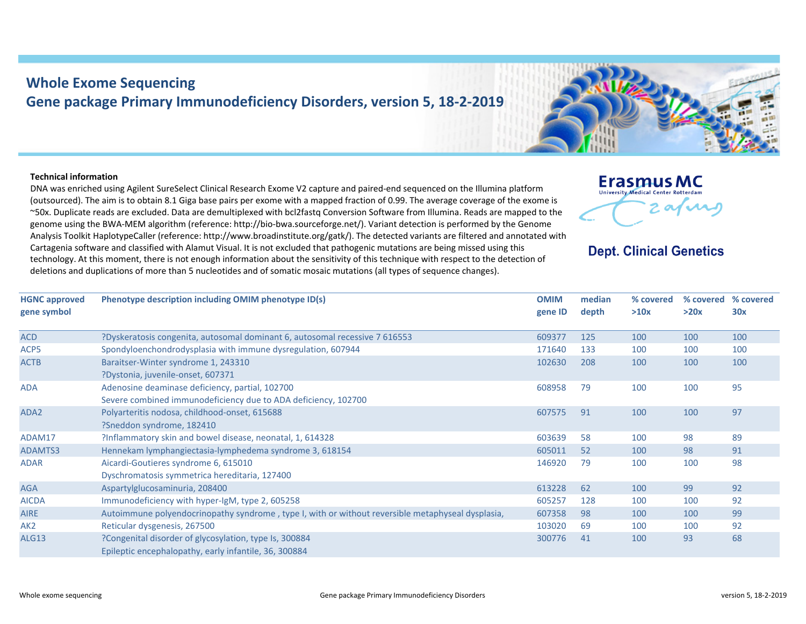## **Whole Exome Sequencing Gene package Primary Immunodeficiency Disorders, version 5, 18‐2‐2019**

## **Technical information**

DNA was enriched using Agilent SureSelect Clinical Research Exome V2 capture and paired‐end sequenced on the Illumina platform (outsourced). The aim is to obtain 8.1 Giga base pairs per exome with <sup>a</sup> mapped fraction of 0.99. The average coverage of the exome is ~50x. Duplicate reads are excluded. Data are demultiplexed with bcl2fastq Conversion Software from Illumina. Reads are mapped to the genome using the BWA‐MEM algorithm (reference: http://bio‐bwa.sourceforge.net/). Variant detection is performed by the Genome Analysis Toolkit HaplotypeCaller (reference: http://www.broadinstitute.org/gatk/). The detected variants are filtered and annotated with Cartagenia software and classified with Alamut Visual. It is not excluded that pathogenic mutations are being missed using this technology. At this moment, there is not enough information about the sensitivity of this technique with respect to the detection of deletions and duplications of more than 5 nucleotides and of somatic mosaic mutations (all types of sequence changes).



## **Dept. Clinical Genetics**

| <b>HGNC approved</b><br>gene symbol | Phenotype description including OMIM phenotype ID(s)                                                              | <b>OMIM</b><br>gene ID | median<br>depth | % covered<br>>10x | % covered<br>>20x | % covered<br>30x |
|-------------------------------------|-------------------------------------------------------------------------------------------------------------------|------------------------|-----------------|-------------------|-------------------|------------------|
| <b>ACD</b>                          | ?Dyskeratosis congenita, autosomal dominant 6, autosomal recessive 7 616553                                       | 609377                 | 125             | 100               | 100               | 100              |
| ACP5                                | Spondyloenchondrodysplasia with immune dysregulation, 607944                                                      | 171640                 | 133             | 100               | 100               | 100              |
| <b>ACTB</b>                         | Baraitser-Winter syndrome 1, 243310<br>?Dystonia, juvenile-onset, 607371                                          | 102630                 | 208             | 100               | 100               | 100              |
| <b>ADA</b>                          | Adenosine deaminase deficiency, partial, 102700<br>Severe combined immunodeficiency due to ADA deficiency, 102700 | 608958                 | 79              | 100               | 100               | 95               |
| ADA <sub>2</sub>                    | Polyarteritis nodosa, childhood-onset, 615688<br>?Sneddon syndrome, 182410                                        | 607575                 | 91              | 100               | 100               | 97               |
| ADAM17                              | ?Inflammatory skin and bowel disease, neonatal, 1, 614328                                                         | 603639                 | 58              | 100               | 98                | 89               |
| ADAMTS3                             | Hennekam lymphangiectasia-lymphedema syndrome 3, 618154                                                           | 605011                 | 52              | 100               | 98                | 91               |
| <b>ADAR</b>                         | Aicardi-Goutieres syndrome 6, 615010<br>Dyschromatosis symmetrica hereditaria, 127400                             | 146920                 | 79              | 100               | 100               | 98               |
| <b>AGA</b>                          | Aspartylglucosaminuria, 208400                                                                                    | 613228                 | 62              | 100               | 99                | 92               |
| <b>AICDA</b>                        | Immunodeficiency with hyper-IgM, type 2, 605258                                                                   | 605257                 | 128             | 100               | 100               | 92               |
| <b>AIRE</b>                         | Autoimmune polyendocrinopathy syndrome, type I, with or without reversible metaphyseal dysplasia,                 | 607358                 | 98              | 100               | 100               | 99               |
| AK <sub>2</sub>                     | Reticular dysgenesis, 267500                                                                                      | 103020                 | 69              | 100               | 100               | 92               |
| <b>ALG13</b>                        | ?Congenital disorder of glycosylation, type Is, 300884<br>Epileptic encephalopathy, early infantile, 36, 300884   | 300776                 | 41              | 100               | 93                | 68               |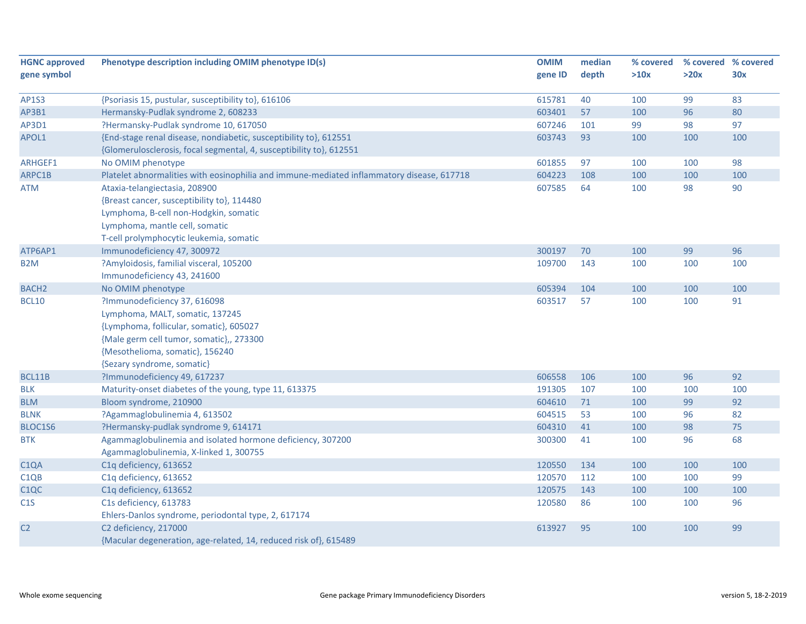| <b>HGNC approved</b> | Phenotype description including OMIM phenotype ID(s)                                      | <b>OMIM</b> | median | % covered |      | % covered % covered |
|----------------------|-------------------------------------------------------------------------------------------|-------------|--------|-----------|------|---------------------|
| gene symbol          |                                                                                           | gene ID     | depth  | >10x      | >20x | 30x                 |
|                      |                                                                                           |             |        |           |      |                     |
| <b>AP1S3</b>         | {Psoriasis 15, pustular, susceptibility to}, 616106                                       | 615781      | 40     | 100       | 99   | 83                  |
| AP3B1                | Hermansky-Pudlak syndrome 2, 608233                                                       | 603401      | 57     | 100       | 96   | 80                  |
| AP3D1                | ?Hermansky-Pudlak syndrome 10, 617050                                                     | 607246      | 101    | 99        | 98   | 97                  |
| APOL1                | {End-stage renal disease, nondiabetic, susceptibility to}, 612551                         | 603743      | 93     | 100       | 100  | 100                 |
|                      | {Glomerulosclerosis, focal segmental, 4, susceptibility to}, 612551                       |             |        |           |      |                     |
| ARHGEF1              | No OMIM phenotype                                                                         | 601855      | 97     | 100       | 100  | 98                  |
| ARPC1B               | Platelet abnormalities with eosinophilia and immune-mediated inflammatory disease, 617718 | 604223      | 108    | 100       | 100  | 100                 |
| <b>ATM</b>           | Ataxia-telangiectasia, 208900                                                             | 607585      | 64     | 100       | 98   | 90                  |
|                      | {Breast cancer, susceptibility to}, 114480                                                |             |        |           |      |                     |
|                      | Lymphoma, B-cell non-Hodgkin, somatic                                                     |             |        |           |      |                     |
|                      | Lymphoma, mantle cell, somatic                                                            |             |        |           |      |                     |
|                      | T-cell prolymphocytic leukemia, somatic                                                   |             |        |           |      |                     |
| ATP6AP1              | Immunodeficiency 47, 300972                                                               | 300197      | 70     | 100       | 99   | 96                  |
| B <sub>2</sub> M     | ?Amyloidosis, familial visceral, 105200                                                   | 109700      | 143    | 100       | 100  | 100                 |
|                      | Immunodeficiency 43, 241600                                                               |             |        |           |      |                     |
| <b>BACH2</b>         | No OMIM phenotype                                                                         | 605394      | 104    | 100       | 100  | 100                 |
| <b>BCL10</b>         | ?Immunodeficiency 37, 616098                                                              | 603517      | 57     | 100       | 100  | 91                  |
|                      | Lymphoma, MALT, somatic, 137245                                                           |             |        |           |      |                     |
|                      | {Lymphoma, follicular, somatic}, 605027                                                   |             |        |           |      |                     |
|                      | {Male germ cell tumor, somatic},, 273300                                                  |             |        |           |      |                     |
|                      | {Mesothelioma, somatic}, 156240                                                           |             |        |           |      |                     |
|                      | {Sezary syndrome, somatic}                                                                |             |        |           |      |                     |
| BCL11B               | ?Immunodeficiency 49, 617237                                                              | 606558      | 106    | 100       | 96   | 92                  |
| <b>BLK</b>           | Maturity-onset diabetes of the young, type 11, 613375                                     | 191305      | 107    | 100       | 100  | 100                 |
| <b>BLM</b>           | Bloom syndrome, 210900                                                                    | 604610      | 71     | 100       | 99   | 92                  |
| <b>BLNK</b>          | ?Agammaglobulinemia 4, 613502                                                             | 604515      | 53     | 100       | 96   | 82                  |
| BLOC1S6              | ?Hermansky-pudlak syndrome 9, 614171                                                      | 604310      | 41     | 100       | 98   | 75                  |
| <b>BTK</b>           | Agammaglobulinemia and isolated hormone deficiency, 307200                                | 300300      | 41     | 100       | 96   | 68                  |
|                      | Agammaglobulinemia, X-linked 1, 300755                                                    |             |        |           |      |                     |
| C <sub>1</sub> QA    | C1q deficiency, 613652                                                                    | 120550      | 134    | 100       | 100  | 100                 |
| C <sub>1QB</sub>     | C1q deficiency, 613652                                                                    | 120570      | 112    | 100       | 100  | 99                  |
| C <sub>1</sub> QC    | C1q deficiency, 613652                                                                    | 120575      | 143    | 100       | 100  | 100                 |
| C1S                  | C1s deficiency, 613783                                                                    | 120580      | 86     | 100       | 100  | 96                  |
|                      | Ehlers-Danlos syndrome, periodontal type, 2, 617174                                       |             |        |           |      |                     |
| C <sub>2</sub>       | C2 deficiency, 217000                                                                     | 613927      | 95     | 100       | 100  | 99                  |
|                      | {Macular degeneration, age-related, 14, reduced risk of}, 615489                          |             |        |           |      |                     |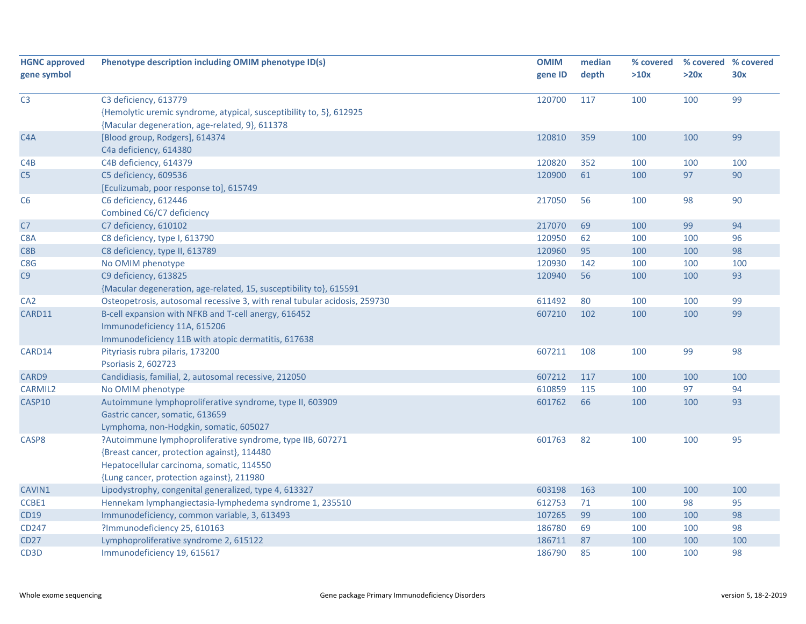| <b>HGNC approved</b> | Phenotype description including OMIM phenotype ID(s)                      | <b>OMIM</b> | median | % covered |      | % covered % covered |
|----------------------|---------------------------------------------------------------------------|-------------|--------|-----------|------|---------------------|
| gene symbol          |                                                                           | gene ID     | depth  | >10x      | >20x | 30x                 |
|                      |                                                                           |             |        |           |      |                     |
| C <sub>3</sub>       | C3 deficiency, 613779                                                     | 120700      | 117    | 100       | 100  | 99                  |
|                      | {Hemolytic uremic syndrome, atypical, susceptibility to, 5}, 612925       |             |        |           |      |                     |
|                      | {Macular degeneration, age-related, 9}, 611378                            |             |        |           |      |                     |
| C <sub>4</sub> A     | [Blood group, Rodgers], 614374                                            | 120810      | 359    | 100       | 100  | 99                  |
|                      | C4a deficiency, 614380                                                    |             |        |           |      |                     |
| C4B                  | C4B deficiency, 614379                                                    | 120820      | 352    | 100       | 100  | 100                 |
| C5                   | C5 deficiency, 609536                                                     | 120900      | 61     | 100       | 97   | 90                  |
|                      | [Eculizumab, poor response to], 615749                                    |             |        |           |      |                     |
| C6                   | C6 deficiency, 612446                                                     | 217050      | 56     | 100       | 98   | 90                  |
|                      | Combined C6/C7 deficiency                                                 |             |        |           |      |                     |
| C <sub>7</sub>       | C7 deficiency, 610102                                                     | 217070      | 69     | 100       | 99   | 94                  |
| C8A                  | C8 deficiency, type I, 613790                                             | 120950      | 62     | 100       | 100  | 96                  |
| C8B                  | C8 deficiency, type II, 613789                                            | 120960      | 95     | 100       | 100  | 98                  |
| C8G                  | No OMIM phenotype                                                         | 120930      | 142    | 100       | 100  | 100                 |
| C9                   | C9 deficiency, 613825                                                     | 120940      | 56     | 100       | 100  | 93                  |
|                      | {Macular degeneration, age-related, 15, susceptibility to}, 615591        |             |        |           |      |                     |
| CA <sub>2</sub>      | Osteopetrosis, autosomal recessive 3, with renal tubular acidosis, 259730 | 611492      | 80     | 100       | 100  | 99                  |
| CARD11               | B-cell expansion with NFKB and T-cell anergy, 616452                      | 607210      | 102    | 100       | 100  | 99                  |
|                      | Immunodeficiency 11A, 615206                                              |             |        |           |      |                     |
|                      | Immunodeficiency 11B with atopic dermatitis, 617638                       |             |        |           |      |                     |
| CARD14               | Pityriasis rubra pilaris, 173200                                          | 607211      | 108    | 100       | 99   | 98                  |
|                      | Psoriasis 2, 602723                                                       |             |        |           |      |                     |
| CARD9                | Candidiasis, familial, 2, autosomal recessive, 212050                     | 607212      | 117    | 100       | 100  | 100                 |
| <b>CARMIL2</b>       | No OMIM phenotype                                                         | 610859      | 115    | 100       | 97   | 94                  |
| CASP10               | Autoimmune lymphoproliferative syndrome, type II, 603909                  | 601762      | 66     | 100       | 100  | 93                  |
|                      | Gastric cancer, somatic, 613659                                           |             |        |           |      |                     |
|                      | Lymphoma, non-Hodgkin, somatic, 605027                                    |             |        |           |      |                     |
| CASP8                | ?Autoimmune lymphoproliferative syndrome, type IIB, 607271                | 601763      | 82     | 100       | 100  | 95                  |
|                      | {Breast cancer, protection against}, 114480                               |             |        |           |      |                     |
|                      | Hepatocellular carcinoma, somatic, 114550                                 |             |        |           |      |                     |
|                      | {Lung cancer, protection against}, 211980                                 |             |        |           |      |                     |
| CAVIN1               | Lipodystrophy, congenital generalized, type 4, 613327                     | 603198      | 163    | 100       | 100  | 100                 |
| CCBE1                | Hennekam lymphangiectasia-lymphedema syndrome 1, 235510                   | 612753      | 71     | 100       | 98   | 95                  |
| CD19                 | Immunodeficiency, common variable, 3, 613493                              | 107265      | 99     | 100       | 100  | 98                  |
| CD247                | ?Immunodeficiency 25, 610163                                              | 186780      | 69     | 100       | 100  | 98                  |
| <b>CD27</b>          | Lymphoproliferative syndrome 2, 615122                                    | 186711      | 87     | 100       | 100  | 100                 |
| CD <sub>3</sub> D    | Immunodeficiency 19, 615617                                               | 186790      | 85     | 100       | 100  | 98                  |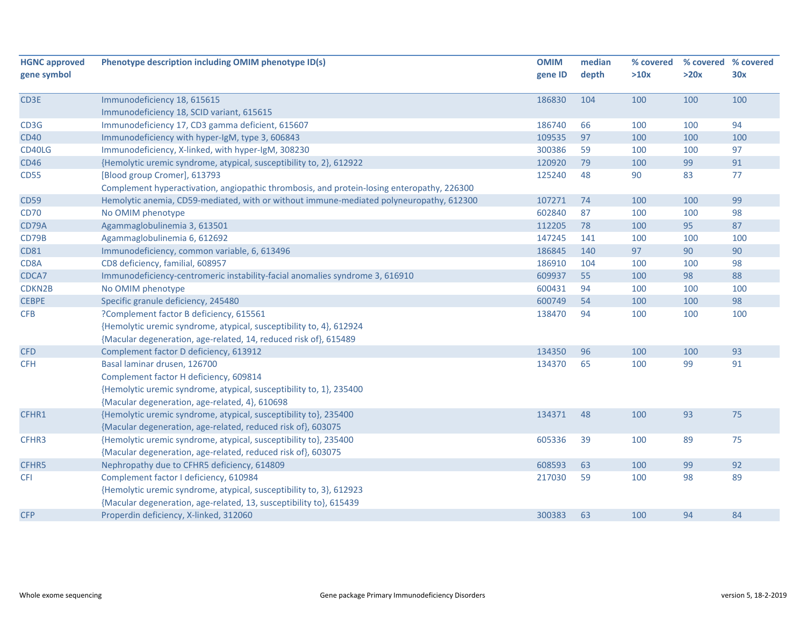| <b>HGNC approved</b> | Phenotype description including OMIM phenotype ID(s)                                       | <b>OMIM</b> | median | % covered |      | % covered % covered |
|----------------------|--------------------------------------------------------------------------------------------|-------------|--------|-----------|------|---------------------|
| gene symbol          |                                                                                            | gene ID     | depth  | >10x      | >20x | 30x                 |
|                      |                                                                                            |             |        |           |      |                     |
| CD3E                 | Immunodeficiency 18, 615615                                                                | 186830      | 104    | 100       | 100  | 100                 |
|                      | Immunodeficiency 18, SCID variant, 615615                                                  |             |        |           |      |                     |
| CD3G                 | Immunodeficiency 17, CD3 gamma deficient, 615607                                           | 186740      | 66     | 100       | 100  | 94                  |
| <b>CD40</b>          | Immunodeficiency with hyper-IgM, type 3, 606843                                            | 109535      | 97     | 100       | 100  | 100                 |
| CD40LG               | Immunodeficiency, X-linked, with hyper-IgM, 308230                                         | 300386      | 59     | 100       | 100  | 97                  |
| <b>CD46</b>          | {Hemolytic uremic syndrome, atypical, susceptibility to, 2}, 612922                        | 120920      | 79     | 100       | 99   | 91                  |
| <b>CD55</b>          | [Blood group Cromer], 613793                                                               | 125240      | 48     | 90        | 83   | 77                  |
|                      | Complement hyperactivation, angiopathic thrombosis, and protein-losing enteropathy, 226300 |             |        |           |      |                     |
| <b>CD59</b>          | Hemolytic anemia, CD59-mediated, with or without immune-mediated polyneuropathy, 612300    | 107271      | 74     | 100       | 100  | 99                  |
| <b>CD70</b>          | No OMIM phenotype                                                                          | 602840      | 87     | 100       | 100  | 98                  |
| CD79A                | Agammaglobulinemia 3, 613501                                                               | 112205      | 78     | 100       | 95   | 87                  |
| CD79B                | Agammaglobulinemia 6, 612692                                                               | 147245      | 141    | 100       | 100  | 100                 |
| <b>CD81</b>          | Immunodeficiency, common variable, 6, 613496                                               | 186845      | 140    | 97        | 90   | 90                  |
| CD8A                 | CD8 deficiency, familial, 608957                                                           | 186910      | 104    | 100       | 100  | 98                  |
| CDCA7                | Immunodeficiency-centromeric instability-facial anomalies syndrome 3, 616910               | 609937      | 55     | 100       | 98   | 88                  |
| CDKN2B               | No OMIM phenotype                                                                          | 600431      | 94     | 100       | 100  | 100                 |
| <b>CEBPE</b>         | Specific granule deficiency, 245480                                                        | 600749      | 54     | 100       | 100  | 98                  |
| <b>CFB</b>           | ?Complement factor B deficiency, 615561                                                    | 138470      | 94     | 100       | 100  | 100                 |
|                      | {Hemolytic uremic syndrome, atypical, susceptibility to, 4}, 612924                        |             |        |           |      |                     |
|                      | {Macular degeneration, age-related, 14, reduced risk of}, 615489                           |             |        |           |      |                     |
| <b>CFD</b>           | Complement factor D deficiency, 613912                                                     | 134350      | 96     | 100       | 100  | 93                  |
| <b>CFH</b>           | Basal laminar drusen, 126700                                                               | 134370      | 65     | 100       | 99   | 91                  |
|                      | Complement factor H deficiency, 609814                                                     |             |        |           |      |                     |
|                      | {Hemolytic uremic syndrome, atypical, susceptibility to, 1}, 235400                        |             |        |           |      |                     |
|                      | {Macular degeneration, age-related, 4}, 610698                                             |             |        |           |      |                     |
| CFHR1                | {Hemolytic uremic syndrome, atypical, susceptibility to}, 235400                           | 134371      | 48     | 100       | 93   | 75                  |
|                      | {Macular degeneration, age-related, reduced risk of}, 603075                               |             |        |           |      |                     |
| CFHR3                | {Hemolytic uremic syndrome, atypical, susceptibility to}, 235400                           | 605336      | 39     | 100       | 89   | 75                  |
|                      | {Macular degeneration, age-related, reduced risk of}, 603075                               |             |        |           |      |                     |
| CFHR5                | Nephropathy due to CFHR5 deficiency, 614809                                                | 608593      | 63     | 100       | 99   | 92                  |
|                      |                                                                                            | 217030      | 59     | 100       | 98   | 89                  |
| <b>CFI</b>           | Complement factor I deficiency, 610984                                                     |             |        |           |      |                     |
|                      | {Hemolytic uremic syndrome, atypical, susceptibility to, 3}, 612923                        |             |        |           |      |                     |
|                      | {Macular degeneration, age-related, 13, susceptibility to}, 615439                         |             |        |           |      |                     |
| <b>CFP</b>           | Properdin deficiency, X-linked, 312060                                                     | 300383      | 63     | 100       | 94   | 84                  |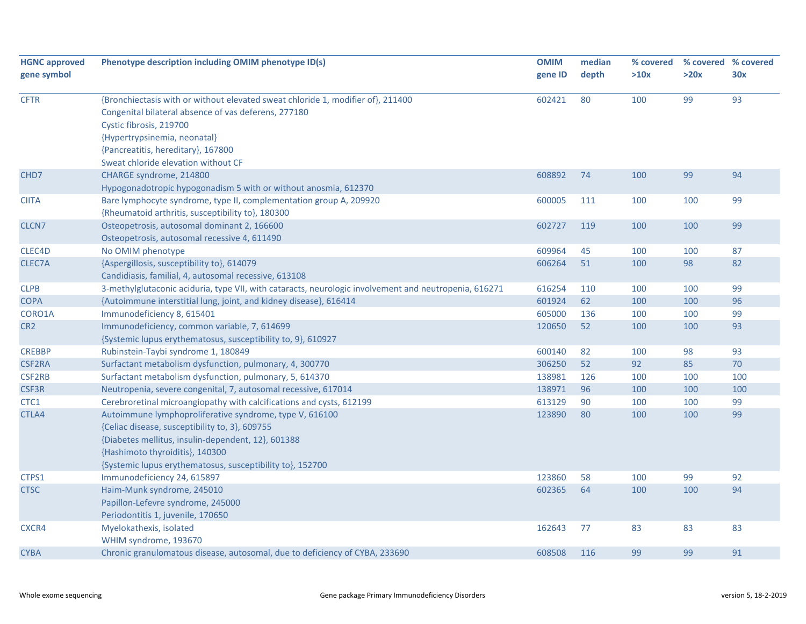| <b>HGNC approved</b> | Phenotype description including OMIM phenotype ID(s)                                                  | <b>OMIM</b> | median | % covered |      | % covered % covered |
|----------------------|-------------------------------------------------------------------------------------------------------|-------------|--------|-----------|------|---------------------|
| gene symbol          |                                                                                                       | gene ID     | depth  | >10x      | >20x | 30x                 |
| <b>CFTR</b>          | {Bronchiectasis with or without elevated sweat chloride 1, modifier of}, 211400                       | 602421      | 80     | 100       | 99   | 93                  |
|                      | Congenital bilateral absence of vas deferens, 277180                                                  |             |        |           |      |                     |
|                      | Cystic fibrosis, 219700                                                                               |             |        |           |      |                     |
|                      | {Hypertrypsinemia, neonatal}                                                                          |             |        |           |      |                     |
|                      | {Pancreatitis, hereditary}, 167800                                                                    |             |        |           |      |                     |
|                      | Sweat chloride elevation without CF                                                                   |             |        |           |      |                     |
| CHD <sub>7</sub>     | CHARGE syndrome, 214800                                                                               | 608892      | 74     | 100       | 99   | 94                  |
|                      | Hypogonadotropic hypogonadism 5 with or without anosmia, 612370                                       |             |        |           |      |                     |
| <b>CIITA</b>         | Bare lymphocyte syndrome, type II, complementation group A, 209920                                    | 600005      | 111    | 100       | 100  | 99                  |
|                      | {Rheumatoid arthritis, susceptibility to}, 180300                                                     |             |        |           |      |                     |
| CLCN7                | Osteopetrosis, autosomal dominant 2, 166600                                                           | 602727      | 119    | 100       | 100  | 99                  |
|                      | Osteopetrosis, autosomal recessive 4, 611490                                                          |             |        |           |      |                     |
| CLEC4D               | No OMIM phenotype                                                                                     | 609964      | 45     | 100       | 100  | 87                  |
| CLEC7A               | {Aspergillosis, susceptibility to}, 614079                                                            | 606264      | 51     | 100       | 98   | 82                  |
|                      | Candidiasis, familial, 4, autosomal recessive, 613108                                                 |             |        |           |      |                     |
| <b>CLPB</b>          | 3-methylglutaconic aciduria, type VII, with cataracts, neurologic involvement and neutropenia, 616271 | 616254      | 110    | 100       | 100  | 99                  |
| <b>COPA</b>          | {Autoimmune interstitial lung, joint, and kidney disease}, 616414                                     | 601924      | 62     | 100       | 100  | 96                  |
| CORO1A               | Immunodeficiency 8, 615401                                                                            | 605000      | 136    | 100       | 100  | 99                  |
| CR <sub>2</sub>      | Immunodeficiency, common variable, 7, 614699                                                          | 120650      | 52     | 100       | 100  | 93                  |
|                      | {Systemic lupus erythematosus, susceptibility to, 9}, 610927                                          |             |        |           |      |                     |
| <b>CREBBP</b>        | Rubinstein-Taybi syndrome 1, 180849                                                                   | 600140      | 82     | 100       | 98   | 93                  |
| <b>CSF2RA</b>        | Surfactant metabolism dysfunction, pulmonary, 4, 300770                                               | 306250      | 52     | 92        | 85   | 70                  |
| <b>CSF2RB</b>        | Surfactant metabolism dysfunction, pulmonary, 5, 614370                                               | 138981      | 126    | 100       | 100  | 100                 |
| <b>CSF3R</b>         | Neutropenia, severe congenital, 7, autosomal recessive, 617014                                        | 138971      | 96     | 100       | 100  | 100                 |
| CTC1                 | Cerebroretinal microangiopathy with calcifications and cysts, 612199                                  | 613129      | 90     | 100       | 100  | 99                  |
| CTLA4                | Autoimmune lymphoproliferative syndrome, type V, 616100                                               | 123890      | 80     | 100       | 100  | 99                  |
|                      | {Celiac disease, susceptibility to, 3}, 609755                                                        |             |        |           |      |                     |
|                      | {Diabetes mellitus, insulin-dependent, 12}, 601388                                                    |             |        |           |      |                     |
|                      | {Hashimoto thyroiditis}, 140300                                                                       |             |        |           |      |                     |
|                      | {Systemic lupus erythematosus, susceptibility to}, 152700                                             |             |        |           |      |                     |
| CTPS1                | Immunodeficiency 24, 615897                                                                           | 123860      | 58     | 100       | 99   | 92                  |
| <b>CTSC</b>          | Haim-Munk syndrome, 245010                                                                            | 602365      | 64     | 100       | 100  | 94                  |
|                      | Papillon-Lefevre syndrome, 245000                                                                     |             |        |           |      |                     |
|                      | Periodontitis 1, juvenile, 170650                                                                     |             |        |           |      |                     |
| CXCR4                | Myelokathexis, isolated                                                                               | 162643      | 77     | 83        | 83   | 83                  |
|                      | WHIM syndrome, 193670                                                                                 |             |        |           |      |                     |
| <b>CYBA</b>          | Chronic granulomatous disease, autosomal, due to deficiency of CYBA, 233690                           | 608508      | 116    | 99        | 99   | 91                  |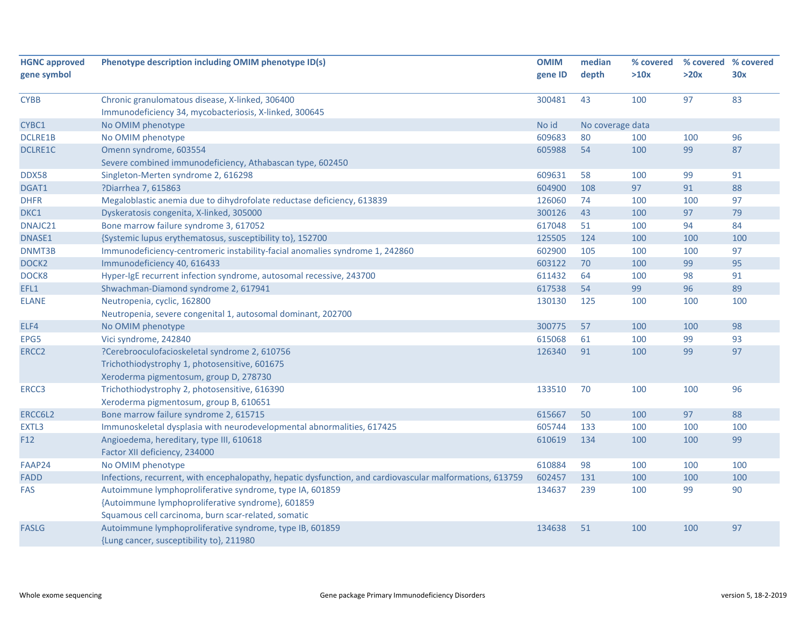|                                                                              | <b>OMIM</b>                                                                                                                                                                                                                                                                                                                                                                                                                                                                                                                                                                                                                                                                                                                                                                                                                                                                                                                                                                                                                                                                                                                                                                                                                                                | median                                                                                                                                  | % covered                                                   |                                                                                              | % covered % covered                                                              |
|------------------------------------------------------------------------------|------------------------------------------------------------------------------------------------------------------------------------------------------------------------------------------------------------------------------------------------------------------------------------------------------------------------------------------------------------------------------------------------------------------------------------------------------------------------------------------------------------------------------------------------------------------------------------------------------------------------------------------------------------------------------------------------------------------------------------------------------------------------------------------------------------------------------------------------------------------------------------------------------------------------------------------------------------------------------------------------------------------------------------------------------------------------------------------------------------------------------------------------------------------------------------------------------------------------------------------------------------|-----------------------------------------------------------------------------------------------------------------------------------------|-------------------------------------------------------------|----------------------------------------------------------------------------------------------|----------------------------------------------------------------------------------|
|                                                                              | gene ID                                                                                                                                                                                                                                                                                                                                                                                                                                                                                                                                                                                                                                                                                                                                                                                                                                                                                                                                                                                                                                                                                                                                                                                                                                                    | depth                                                                                                                                   | >10x                                                        | >20x                                                                                         | 30x                                                                              |
|                                                                              |                                                                                                                                                                                                                                                                                                                                                                                                                                                                                                                                                                                                                                                                                                                                                                                                                                                                                                                                                                                                                                                                                                                                                                                                                                                            |                                                                                                                                         |                                                             |                                                                                              |                                                                                  |
|                                                                              |                                                                                                                                                                                                                                                                                                                                                                                                                                                                                                                                                                                                                                                                                                                                                                                                                                                                                                                                                                                                                                                                                                                                                                                                                                                            |                                                                                                                                         |                                                             |                                                                                              | 83                                                                               |
|                                                                              |                                                                                                                                                                                                                                                                                                                                                                                                                                                                                                                                                                                                                                                                                                                                                                                                                                                                                                                                                                                                                                                                                                                                                                                                                                                            |                                                                                                                                         |                                                             |                                                                                              |                                                                                  |
|                                                                              |                                                                                                                                                                                                                                                                                                                                                                                                                                                                                                                                                                                                                                                                                                                                                                                                                                                                                                                                                                                                                                                                                                                                                                                                                                                            |                                                                                                                                         |                                                             |                                                                                              |                                                                                  |
|                                                                              |                                                                                                                                                                                                                                                                                                                                                                                                                                                                                                                                                                                                                                                                                                                                                                                                                                                                                                                                                                                                                                                                                                                                                                                                                                                            |                                                                                                                                         |                                                             |                                                                                              | 96                                                                               |
|                                                                              |                                                                                                                                                                                                                                                                                                                                                                                                                                                                                                                                                                                                                                                                                                                                                                                                                                                                                                                                                                                                                                                                                                                                                                                                                                                            |                                                                                                                                         |                                                             |                                                                                              | 87                                                                               |
|                                                                              |                                                                                                                                                                                                                                                                                                                                                                                                                                                                                                                                                                                                                                                                                                                                                                                                                                                                                                                                                                                                                                                                                                                                                                                                                                                            |                                                                                                                                         |                                                             |                                                                                              |                                                                                  |
|                                                                              |                                                                                                                                                                                                                                                                                                                                                                                                                                                                                                                                                                                                                                                                                                                                                                                                                                                                                                                                                                                                                                                                                                                                                                                                                                                            |                                                                                                                                         |                                                             |                                                                                              | 91                                                                               |
|                                                                              |                                                                                                                                                                                                                                                                                                                                                                                                                                                                                                                                                                                                                                                                                                                                                                                                                                                                                                                                                                                                                                                                                                                                                                                                                                                            |                                                                                                                                         |                                                             |                                                                                              | 88                                                                               |
|                                                                              |                                                                                                                                                                                                                                                                                                                                                                                                                                                                                                                                                                                                                                                                                                                                                                                                                                                                                                                                                                                                                                                                                                                                                                                                                                                            | 74                                                                                                                                      |                                                             |                                                                                              | 97                                                                               |
|                                                                              |                                                                                                                                                                                                                                                                                                                                                                                                                                                                                                                                                                                                                                                                                                                                                                                                                                                                                                                                                                                                                                                                                                                                                                                                                                                            | 43                                                                                                                                      | 100                                                         |                                                                                              | 79                                                                               |
|                                                                              |                                                                                                                                                                                                                                                                                                                                                                                                                                                                                                                                                                                                                                                                                                                                                                                                                                                                                                                                                                                                                                                                                                                                                                                                                                                            |                                                                                                                                         |                                                             |                                                                                              | 84                                                                               |
|                                                                              | 125505                                                                                                                                                                                                                                                                                                                                                                                                                                                                                                                                                                                                                                                                                                                                                                                                                                                                                                                                                                                                                                                                                                                                                                                                                                                     | 124                                                                                                                                     | 100                                                         | 100                                                                                          | 100                                                                              |
| Immunodeficiency-centromeric instability-facial anomalies syndrome 1, 242860 | 602900                                                                                                                                                                                                                                                                                                                                                                                                                                                                                                                                                                                                                                                                                                                                                                                                                                                                                                                                                                                                                                                                                                                                                                                                                                                     | 105                                                                                                                                     | 100                                                         | 100                                                                                          | 97                                                                               |
| Immunodeficiency 40, 616433                                                  | 603122                                                                                                                                                                                                                                                                                                                                                                                                                                                                                                                                                                                                                                                                                                                                                                                                                                                                                                                                                                                                                                                                                                                                                                                                                                                     | 70                                                                                                                                      | 100                                                         | 99                                                                                           | 95                                                                               |
| Hyper-IgE recurrent infection syndrome, autosomal recessive, 243700          | 611432                                                                                                                                                                                                                                                                                                                                                                                                                                                                                                                                                                                                                                                                                                                                                                                                                                                                                                                                                                                                                                                                                                                                                                                                                                                     | 64                                                                                                                                      | 100                                                         | 98                                                                                           | 91                                                                               |
| Shwachman-Diamond syndrome 2, 617941                                         | 617538                                                                                                                                                                                                                                                                                                                                                                                                                                                                                                                                                                                                                                                                                                                                                                                                                                                                                                                                                                                                                                                                                                                                                                                                                                                     | 54                                                                                                                                      | 99                                                          | 96                                                                                           | 89                                                                               |
| Neutropenia, cyclic, 162800                                                  | 130130                                                                                                                                                                                                                                                                                                                                                                                                                                                                                                                                                                                                                                                                                                                                                                                                                                                                                                                                                                                                                                                                                                                                                                                                                                                     | 125                                                                                                                                     | 100                                                         | 100                                                                                          | 100                                                                              |
| Neutropenia, severe congenital 1, autosomal dominant, 202700                 |                                                                                                                                                                                                                                                                                                                                                                                                                                                                                                                                                                                                                                                                                                                                                                                                                                                                                                                                                                                                                                                                                                                                                                                                                                                            |                                                                                                                                         |                                                             |                                                                                              |                                                                                  |
| No OMIM phenotype                                                            | 300775                                                                                                                                                                                                                                                                                                                                                                                                                                                                                                                                                                                                                                                                                                                                                                                                                                                                                                                                                                                                                                                                                                                                                                                                                                                     | 57                                                                                                                                      | 100                                                         | 100                                                                                          | 98                                                                               |
| Vici syndrome, 242840                                                        | 615068                                                                                                                                                                                                                                                                                                                                                                                                                                                                                                                                                                                                                                                                                                                                                                                                                                                                                                                                                                                                                                                                                                                                                                                                                                                     | 61                                                                                                                                      | 100                                                         | 99                                                                                           | 93                                                                               |
| ?Cerebrooculofacioskeletal syndrome 2, 610756                                | 126340                                                                                                                                                                                                                                                                                                                                                                                                                                                                                                                                                                                                                                                                                                                                                                                                                                                                                                                                                                                                                                                                                                                                                                                                                                                     | 91                                                                                                                                      | 100                                                         | 99                                                                                           | 97                                                                               |
| Trichothiodystrophy 1, photosensitive, 601675                                |                                                                                                                                                                                                                                                                                                                                                                                                                                                                                                                                                                                                                                                                                                                                                                                                                                                                                                                                                                                                                                                                                                                                                                                                                                                            |                                                                                                                                         |                                                             |                                                                                              |                                                                                  |
| Xeroderma pigmentosum, group D, 278730                                       |                                                                                                                                                                                                                                                                                                                                                                                                                                                                                                                                                                                                                                                                                                                                                                                                                                                                                                                                                                                                                                                                                                                                                                                                                                                            |                                                                                                                                         |                                                             |                                                                                              |                                                                                  |
| Trichothiodystrophy 2, photosensitive, 616390                                | 133510                                                                                                                                                                                                                                                                                                                                                                                                                                                                                                                                                                                                                                                                                                                                                                                                                                                                                                                                                                                                                                                                                                                                                                                                                                                     | 70                                                                                                                                      | 100                                                         | 100                                                                                          | 96                                                                               |
|                                                                              |                                                                                                                                                                                                                                                                                                                                                                                                                                                                                                                                                                                                                                                                                                                                                                                                                                                                                                                                                                                                                                                                                                                                                                                                                                                            |                                                                                                                                         |                                                             |                                                                                              |                                                                                  |
|                                                                              | 615667                                                                                                                                                                                                                                                                                                                                                                                                                                                                                                                                                                                                                                                                                                                                                                                                                                                                                                                                                                                                                                                                                                                                                                                                                                                     | 50                                                                                                                                      | 100                                                         | 97                                                                                           | 88                                                                               |
|                                                                              |                                                                                                                                                                                                                                                                                                                                                                                                                                                                                                                                                                                                                                                                                                                                                                                                                                                                                                                                                                                                                                                                                                                                                                                                                                                            | 133                                                                                                                                     | 100                                                         |                                                                                              | 100                                                                              |
|                                                                              | 610619                                                                                                                                                                                                                                                                                                                                                                                                                                                                                                                                                                                                                                                                                                                                                                                                                                                                                                                                                                                                                                                                                                                                                                                                                                                     | 134                                                                                                                                     | 100                                                         | 100                                                                                          | 99                                                                               |
|                                                                              |                                                                                                                                                                                                                                                                                                                                                                                                                                                                                                                                                                                                                                                                                                                                                                                                                                                                                                                                                                                                                                                                                                                                                                                                                                                            |                                                                                                                                         |                                                             |                                                                                              |                                                                                  |
|                                                                              |                                                                                                                                                                                                                                                                                                                                                                                                                                                                                                                                                                                                                                                                                                                                                                                                                                                                                                                                                                                                                                                                                                                                                                                                                                                            |                                                                                                                                         |                                                             |                                                                                              | 100                                                                              |
|                                                                              |                                                                                                                                                                                                                                                                                                                                                                                                                                                                                                                                                                                                                                                                                                                                                                                                                                                                                                                                                                                                                                                                                                                                                                                                                                                            |                                                                                                                                         |                                                             |                                                                                              | 100                                                                              |
|                                                                              |                                                                                                                                                                                                                                                                                                                                                                                                                                                                                                                                                                                                                                                                                                                                                                                                                                                                                                                                                                                                                                                                                                                                                                                                                                                            |                                                                                                                                         |                                                             |                                                                                              | 90                                                                               |
|                                                                              |                                                                                                                                                                                                                                                                                                                                                                                                                                                                                                                                                                                                                                                                                                                                                                                                                                                                                                                                                                                                                                                                                                                                                                                                                                                            |                                                                                                                                         |                                                             |                                                                                              |                                                                                  |
|                                                                              |                                                                                                                                                                                                                                                                                                                                                                                                                                                                                                                                                                                                                                                                                                                                                                                                                                                                                                                                                                                                                                                                                                                                                                                                                                                            |                                                                                                                                         |                                                             |                                                                                              |                                                                                  |
|                                                                              |                                                                                                                                                                                                                                                                                                                                                                                                                                                                                                                                                                                                                                                                                                                                                                                                                                                                                                                                                                                                                                                                                                                                                                                                                                                            |                                                                                                                                         |                                                             |                                                                                              | 97                                                                               |
|                                                                              |                                                                                                                                                                                                                                                                                                                                                                                                                                                                                                                                                                                                                                                                                                                                                                                                                                                                                                                                                                                                                                                                                                                                                                                                                                                            |                                                                                                                                         |                                                             |                                                                                              |                                                                                  |
|                                                                              | Phenotype description including OMIM phenotype ID(s)<br>Chronic granulomatous disease, X-linked, 306400<br>Immunodeficiency 34, mycobacteriosis, X-linked, 300645<br>No OMIM phenotype<br>No OMIM phenotype<br>Omenn syndrome, 603554<br>Severe combined immunodeficiency, Athabascan type, 602450<br>Singleton-Merten syndrome 2, 616298<br>?Diarrhea 7, 615863<br>Megaloblastic anemia due to dihydrofolate reductase deficiency, 613839<br>Dyskeratosis congenita, X-linked, 305000<br>Bone marrow failure syndrome 3, 617052<br>{Systemic lupus erythematosus, susceptibility to}, 152700<br>Xeroderma pigmentosum, group B, 610651<br>Bone marrow failure syndrome 2, 615715<br>Immunoskeletal dysplasia with neurodevelopmental abnormalities, 617425<br>Angioedema, hereditary, type III, 610618<br>Factor XII deficiency, 234000<br>No OMIM phenotype<br>Infections, recurrent, with encephalopathy, hepatic dysfunction, and cardiovascular malformations, 613759<br>Autoimmune lymphoproliferative syndrome, type IA, 601859<br>{Autoimmune lymphoproliferative syndrome}, 601859<br>Squamous cell carcinoma, burn scar-related, somatic<br>Autoimmune lymphoproliferative syndrome, type IB, 601859<br>{Lung cancer, susceptibility to}, 211980 | 300481<br>No id<br>609683<br>605988<br>609631<br>604900<br>126060<br>300126<br>617048<br>605744<br>610884<br>602457<br>134637<br>134638 | 43<br>80<br>54<br>58<br>108<br>51<br>98<br>131<br>239<br>51 | 100<br>No coverage data<br>100<br>100<br>100<br>97<br>100<br>100<br>100<br>100<br>100<br>100 | 97<br>100<br>99<br>99<br>91<br>100<br>97<br>94<br>100<br>100<br>100<br>99<br>100 |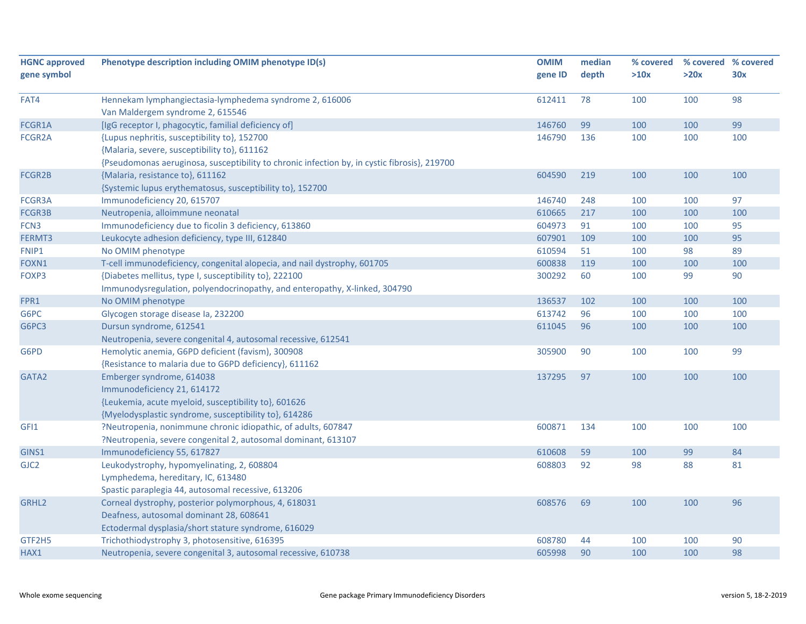| <b>HGNC approved</b> | Phenotype description including OMIM phenotype ID(s)                                         | <b>OMIM</b> | median | % covered |      | % covered % covered |
|----------------------|----------------------------------------------------------------------------------------------|-------------|--------|-----------|------|---------------------|
| gene symbol          |                                                                                              | gene ID     | depth  | >10x      | >20x | 30x                 |
|                      |                                                                                              |             |        |           |      |                     |
| FAT4                 | Hennekam lymphangiectasia-lymphedema syndrome 2, 616006                                      | 612411      | 78     | 100       | 100  | 98                  |
|                      | Van Maldergem syndrome 2, 615546                                                             |             |        |           |      |                     |
| FCGR1A               | [IgG receptor I, phagocytic, familial deficiency of]                                         | 146760      | 99     | 100       | 100  | 99                  |
| FCGR2A               | {Lupus nephritis, susceptibility to}, 152700                                                 | 146790      | 136    | 100       | 100  | 100                 |
|                      | {Malaria, severe, susceptibility to}, 611162                                                 |             |        |           |      |                     |
|                      | {Pseudomonas aeruginosa, susceptibility to chronic infection by, in cystic fibrosis}, 219700 |             |        |           |      |                     |
| FCGR2B               | {Malaria, resistance to}, 611162                                                             | 604590      | 219    | 100       | 100  | 100                 |
|                      | {Systemic lupus erythematosus, susceptibility to}, 152700                                    |             |        |           |      |                     |
| FCGR3A               | Immunodeficiency 20, 615707                                                                  | 146740      | 248    | 100       | 100  | 97                  |
| FCGR3B               | Neutropenia, alloimmune neonatal                                                             | 610665      | 217    | 100       | 100  | 100                 |
| FCN3                 | Immunodeficiency due to ficolin 3 deficiency, 613860                                         | 604973      | 91     | 100       | 100  | 95                  |
| FERMT3               | Leukocyte adhesion deficiency, type III, 612840                                              | 607901      | 109    | 100       | 100  | 95                  |
| FNIP1                | No OMIM phenotype                                                                            | 610594      | 51     | 100       | 98   | 89                  |
| FOXN1                | T-cell immunodeficiency, congenital alopecia, and nail dystrophy, 601705                     | 600838      | 119    | 100       | 100  | 100                 |
| FOXP3                | {Diabetes mellitus, type I, susceptibility to}, 222100                                       | 300292      | 60     | 100       | 99   | 90                  |
|                      | Immunodysregulation, polyendocrinopathy, and enteropathy, X-linked, 304790                   |             |        |           |      |                     |
| FPR1                 | No OMIM phenotype                                                                            | 136537      | 102    | 100       | 100  | 100                 |
| G6PC                 | Glycogen storage disease la, 232200                                                          | 613742      | 96     | 100       | 100  | 100                 |
| G6PC3                | Dursun syndrome, 612541                                                                      | 611045      | 96     | 100       | 100  | 100                 |
|                      | Neutropenia, severe congenital 4, autosomal recessive, 612541                                |             |        |           |      |                     |
| G6PD                 | Hemolytic anemia, G6PD deficient (favism), 300908                                            | 305900      | 90     | 100       | 100  | 99                  |
|                      | {Resistance to malaria due to G6PD deficiency}, 611162                                       |             |        |           |      |                     |
| GATA2                | Emberger syndrome, 614038                                                                    | 137295      | 97     | 100       | 100  | 100                 |
|                      | Immunodeficiency 21, 614172                                                                  |             |        |           |      |                     |
|                      | {Leukemia, acute myeloid, susceptibility to}, 601626                                         |             |        |           |      |                     |
|                      | {Myelodysplastic syndrome, susceptibility to}, 614286                                        |             |        |           |      |                     |
| GFI1                 | ?Neutropenia, nonimmune chronic idiopathic, of adults, 607847                                | 600871      | 134    | 100       | 100  | 100                 |
|                      | ?Neutropenia, severe congenital 2, autosomal dominant, 613107                                |             |        |           |      |                     |
| GINS1                | Immunodeficiency 55, 617827                                                                  | 610608      | 59     | 100       | 99   | 84                  |
| GJC <sub>2</sub>     | Leukodystrophy, hypomyelinating, 2, 608804                                                   | 608803      | 92     | 98        | 88   | 81                  |
|                      | Lymphedema, hereditary, IC, 613480                                                           |             |        |           |      |                     |
|                      | Spastic paraplegia 44, autosomal recessive, 613206                                           |             |        |           |      |                     |
| GRHL <sub>2</sub>    | Corneal dystrophy, posterior polymorphous, 4, 618031                                         | 608576      | 69     | 100       | 100  | 96                  |
|                      | Deafness, autosomal dominant 28, 608641                                                      |             |        |           |      |                     |
|                      | Ectodermal dysplasia/short stature syndrome, 616029                                          |             |        |           |      |                     |
| GTF2H5               | Trichothiodystrophy 3, photosensitive, 616395                                                | 608780      | 44     | 100       | 100  | 90                  |
| HAX1                 | Neutropenia, severe congenital 3, autosomal recessive, 610738                                | 605998      | 90     | 100       | 100  | 98                  |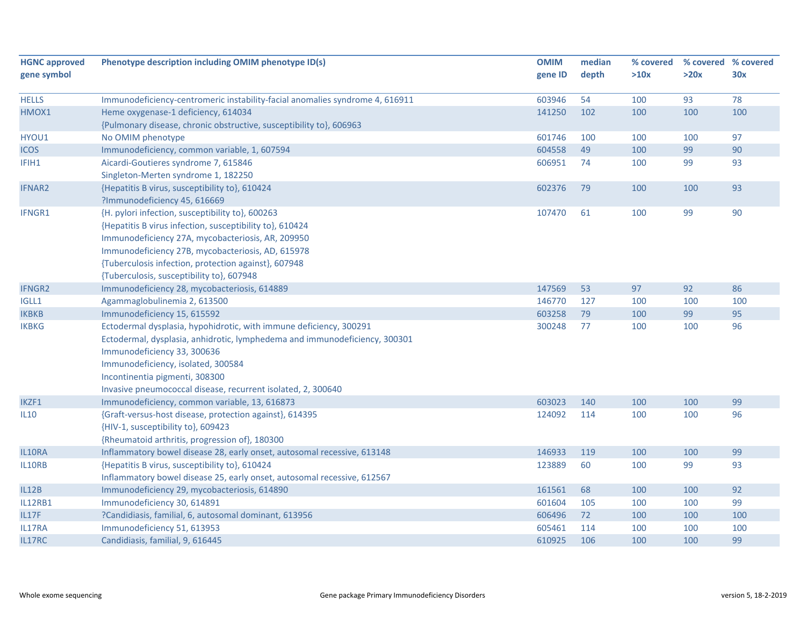| <b>HGNC approved</b> | Phenotype description including OMIM phenotype ID(s)                         | <b>OMIM</b> | median | % covered |      | % covered % covered |
|----------------------|------------------------------------------------------------------------------|-------------|--------|-----------|------|---------------------|
| gene symbol          |                                                                              | gene ID     | depth  | >10x      | >20x | 30x                 |
|                      |                                                                              |             |        |           |      |                     |
| <b>HELLS</b>         | Immunodeficiency-centromeric instability-facial anomalies syndrome 4, 616911 | 603946      | 54     | 100       | 93   | 78                  |
| HMOX1                | Heme oxygenase-1 deficiency, 614034                                          | 141250      | 102    | 100       | 100  | 100                 |
|                      | {Pulmonary disease, chronic obstructive, susceptibility to}, 606963          |             |        |           |      |                     |
| HYOU1                | No OMIM phenotype                                                            | 601746      | 100    | 100       | 100  | 97                  |
| <b>ICOS</b>          | Immunodeficiency, common variable, 1, 607594                                 | 604558      | 49     | 100       | 99   | 90                  |
| IFIH1                | Aicardi-Goutieres syndrome 7, 615846                                         | 606951      | 74     | 100       | 99   | 93                  |
|                      | Singleton-Merten syndrome 1, 182250                                          |             |        |           |      |                     |
| <b>IFNAR2</b>        | {Hepatitis B virus, susceptibility to}, 610424                               | 602376      | 79     | 100       | 100  | 93                  |
|                      | ?Immunodeficiency 45, 616669                                                 |             |        |           |      |                     |
| IFNGR1               | {H. pylori infection, susceptibility to}, 600263                             | 107470      | 61     | 100       | 99   | 90                  |
|                      | {Hepatitis B virus infection, susceptibility to}, 610424                     |             |        |           |      |                     |
|                      | Immunodeficiency 27A, mycobacteriosis, AR, 209950                            |             |        |           |      |                     |
|                      | Immunodeficiency 27B, mycobacteriosis, AD, 615978                            |             |        |           |      |                     |
|                      | {Tuberculosis infection, protection against}, 607948                         |             |        |           |      |                     |
|                      | {Tuberculosis, susceptibility to}, 607948                                    |             |        |           |      |                     |
| <b>IFNGR2</b>        | Immunodeficiency 28, mycobacteriosis, 614889                                 | 147569      | 53     | 97        | 92   | 86                  |
| IGLL1                | Agammaglobulinemia 2, 613500                                                 | 146770      | 127    | 100       | 100  | 100                 |
| <b>IKBKB</b>         | Immunodeficiency 15, 615592                                                  | 603258      | 79     | 100       | 99   | 95                  |
| <b>IKBKG</b>         | Ectodermal dysplasia, hypohidrotic, with immune deficiency, 300291           | 300248      | 77     | 100       | 100  | 96                  |
|                      | Ectodermal, dysplasia, anhidrotic, lymphedema and immunodeficiency, 300301   |             |        |           |      |                     |
|                      | Immunodeficiency 33, 300636                                                  |             |        |           |      |                     |
|                      | Immunodeficiency, isolated, 300584                                           |             |        |           |      |                     |
|                      | Incontinentia pigmenti, 308300                                               |             |        |           |      |                     |
|                      | Invasive pneumococcal disease, recurrent isolated, 2, 300640                 |             |        |           |      |                     |
| IKZF1                | Immunodeficiency, common variable, 13, 616873                                | 603023      | 140    | 100       | 100  | 99                  |
| IL10                 | {Graft-versus-host disease, protection against}, 614395                      | 124092      | 114    | 100       | 100  | 96                  |
|                      | {HIV-1, susceptibility to}, 609423                                           |             |        |           |      |                     |
|                      | {Rheumatoid arthritis, progression of}, 180300                               |             |        |           |      |                     |
| IL10RA               | Inflammatory bowel disease 28, early onset, autosomal recessive, 613148      | 146933      | 119    | 100       | 100  | 99                  |
| IL10RB               | {Hepatitis B virus, susceptibility to}, 610424                               | 123889      | 60     | 100       | 99   | 93                  |
|                      | Inflammatory bowel disease 25, early onset, autosomal recessive, 612567      |             |        |           |      |                     |
| <b>IL12B</b>         | Immunodeficiency 29, mycobacteriosis, 614890                                 | 161561      | 68     | 100       | 100  | 92                  |
| <b>IL12RB1</b>       | Immunodeficiency 30, 614891                                                  | 601604      | 105    | 100       | 100  | 99                  |
| <b>IL17F</b>         | ?Candidiasis, familial, 6, autosomal dominant, 613956                        | 606496      | 72     | 100       | 100  | 100                 |
| IL17RA               | Immunodeficiency 51, 613953                                                  | 605461      | 114    | 100       | 100  | 100                 |
| IL17RC               | Candidiasis, familial, 9, 616445                                             | 610925      | 106    | 100       | 100  | 99                  |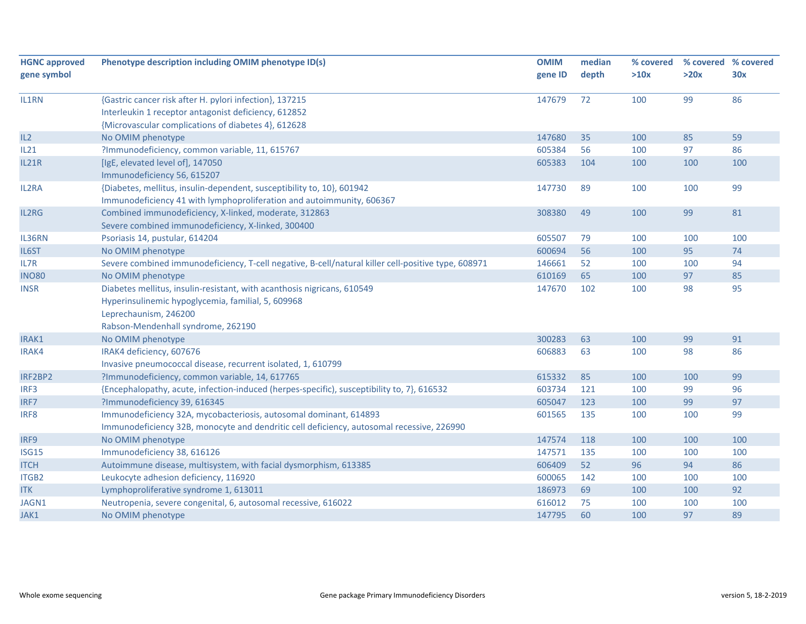| Phenotype description including OMIM phenotype ID(s)                                                | <b>OMIM</b>                                                                                                                                                                                                                                                                                                                                                                                                                                                                                                                                                                                                                                                                                                                                                                                                                                                                                                                                                                                                                                                                                                                                                                                           | median                                                                                                                         | % covered                                                          |                                                                                        | % covered % covered                                                 |
|-----------------------------------------------------------------------------------------------------|-------------------------------------------------------------------------------------------------------------------------------------------------------------------------------------------------------------------------------------------------------------------------------------------------------------------------------------------------------------------------------------------------------------------------------------------------------------------------------------------------------------------------------------------------------------------------------------------------------------------------------------------------------------------------------------------------------------------------------------------------------------------------------------------------------------------------------------------------------------------------------------------------------------------------------------------------------------------------------------------------------------------------------------------------------------------------------------------------------------------------------------------------------------------------------------------------------|--------------------------------------------------------------------------------------------------------------------------------|--------------------------------------------------------------------|----------------------------------------------------------------------------------------|---------------------------------------------------------------------|
|                                                                                                     | gene ID                                                                                                                                                                                                                                                                                                                                                                                                                                                                                                                                                                                                                                                                                                                                                                                                                                                                                                                                                                                                                                                                                                                                                                                               | depth                                                                                                                          | >10x                                                               | >20x                                                                                   | 30x                                                                 |
|                                                                                                     |                                                                                                                                                                                                                                                                                                                                                                                                                                                                                                                                                                                                                                                                                                                                                                                                                                                                                                                                                                                                                                                                                                                                                                                                       |                                                                                                                                |                                                                    |                                                                                        |                                                                     |
|                                                                                                     |                                                                                                                                                                                                                                                                                                                                                                                                                                                                                                                                                                                                                                                                                                                                                                                                                                                                                                                                                                                                                                                                                                                                                                                                       |                                                                                                                                |                                                                    |                                                                                        | 86                                                                  |
|                                                                                                     |                                                                                                                                                                                                                                                                                                                                                                                                                                                                                                                                                                                                                                                                                                                                                                                                                                                                                                                                                                                                                                                                                                                                                                                                       |                                                                                                                                |                                                                    |                                                                                        |                                                                     |
|                                                                                                     |                                                                                                                                                                                                                                                                                                                                                                                                                                                                                                                                                                                                                                                                                                                                                                                                                                                                                                                                                                                                                                                                                                                                                                                                       |                                                                                                                                |                                                                    |                                                                                        |                                                                     |
|                                                                                                     |                                                                                                                                                                                                                                                                                                                                                                                                                                                                                                                                                                                                                                                                                                                                                                                                                                                                                                                                                                                                                                                                                                                                                                                                       |                                                                                                                                |                                                                    |                                                                                        | 59                                                                  |
|                                                                                                     |                                                                                                                                                                                                                                                                                                                                                                                                                                                                                                                                                                                                                                                                                                                                                                                                                                                                                                                                                                                                                                                                                                                                                                                                       |                                                                                                                                |                                                                    |                                                                                        | 86                                                                  |
|                                                                                                     |                                                                                                                                                                                                                                                                                                                                                                                                                                                                                                                                                                                                                                                                                                                                                                                                                                                                                                                                                                                                                                                                                                                                                                                                       |                                                                                                                                |                                                                    |                                                                                        | 100                                                                 |
|                                                                                                     |                                                                                                                                                                                                                                                                                                                                                                                                                                                                                                                                                                                                                                                                                                                                                                                                                                                                                                                                                                                                                                                                                                                                                                                                       |                                                                                                                                |                                                                    |                                                                                        |                                                                     |
|                                                                                                     | 147730                                                                                                                                                                                                                                                                                                                                                                                                                                                                                                                                                                                                                                                                                                                                                                                                                                                                                                                                                                                                                                                                                                                                                                                                | 89                                                                                                                             | 100                                                                | 100                                                                                    | 99                                                                  |
| Immunodeficiency 41 with lymphoproliferation and autoimmunity, 606367                               |                                                                                                                                                                                                                                                                                                                                                                                                                                                                                                                                                                                                                                                                                                                                                                                                                                                                                                                                                                                                                                                                                                                                                                                                       |                                                                                                                                |                                                                    |                                                                                        |                                                                     |
| Combined immunodeficiency, X-linked, moderate, 312863                                               | 308380                                                                                                                                                                                                                                                                                                                                                                                                                                                                                                                                                                                                                                                                                                                                                                                                                                                                                                                                                                                                                                                                                                                                                                                                | 49                                                                                                                             | 100                                                                | 99                                                                                     | 81                                                                  |
| Severe combined immunodeficiency, X-linked, 300400                                                  |                                                                                                                                                                                                                                                                                                                                                                                                                                                                                                                                                                                                                                                                                                                                                                                                                                                                                                                                                                                                                                                                                                                                                                                                       |                                                                                                                                |                                                                    |                                                                                        |                                                                     |
| Psoriasis 14, pustular, 614204                                                                      | 605507                                                                                                                                                                                                                                                                                                                                                                                                                                                                                                                                                                                                                                                                                                                                                                                                                                                                                                                                                                                                                                                                                                                                                                                                | 79                                                                                                                             | 100                                                                | 100                                                                                    | 100                                                                 |
| No OMIM phenotype                                                                                   | 600694                                                                                                                                                                                                                                                                                                                                                                                                                                                                                                                                                                                                                                                                                                                                                                                                                                                                                                                                                                                                                                                                                                                                                                                                | 56                                                                                                                             | 100                                                                | 95                                                                                     | 74                                                                  |
| Severe combined immunodeficiency, T-cell negative, B-cell/natural killer cell-positive type, 608971 | 146661                                                                                                                                                                                                                                                                                                                                                                                                                                                                                                                                                                                                                                                                                                                                                                                                                                                                                                                                                                                                                                                                                                                                                                                                | 52                                                                                                                             | 100                                                                | 100                                                                                    | 94                                                                  |
| No OMIM phenotype                                                                                   | 610169                                                                                                                                                                                                                                                                                                                                                                                                                                                                                                                                                                                                                                                                                                                                                                                                                                                                                                                                                                                                                                                                                                                                                                                                | 65                                                                                                                             | 100                                                                | 97                                                                                     | 85                                                                  |
| Diabetes mellitus, insulin-resistant, with acanthosis nigricans, 610549                             | 147670                                                                                                                                                                                                                                                                                                                                                                                                                                                                                                                                                                                                                                                                                                                                                                                                                                                                                                                                                                                                                                                                                                                                                                                                | 102                                                                                                                            | 100                                                                | 98                                                                                     | 95                                                                  |
| Hyperinsulinemic hypoglycemia, familial, 5, 609968                                                  |                                                                                                                                                                                                                                                                                                                                                                                                                                                                                                                                                                                                                                                                                                                                                                                                                                                                                                                                                                                                                                                                                                                                                                                                       |                                                                                                                                |                                                                    |                                                                                        |                                                                     |
| Leprechaunism, 246200                                                                               |                                                                                                                                                                                                                                                                                                                                                                                                                                                                                                                                                                                                                                                                                                                                                                                                                                                                                                                                                                                                                                                                                                                                                                                                       |                                                                                                                                |                                                                    |                                                                                        |                                                                     |
|                                                                                                     |                                                                                                                                                                                                                                                                                                                                                                                                                                                                                                                                                                                                                                                                                                                                                                                                                                                                                                                                                                                                                                                                                                                                                                                                       |                                                                                                                                |                                                                    |                                                                                        |                                                                     |
|                                                                                                     | 300283                                                                                                                                                                                                                                                                                                                                                                                                                                                                                                                                                                                                                                                                                                                                                                                                                                                                                                                                                                                                                                                                                                                                                                                                | 63                                                                                                                             | 100                                                                | 99                                                                                     | 91                                                                  |
|                                                                                                     | 606883                                                                                                                                                                                                                                                                                                                                                                                                                                                                                                                                                                                                                                                                                                                                                                                                                                                                                                                                                                                                                                                                                                                                                                                                | 63                                                                                                                             | 100                                                                | 98                                                                                     | 86                                                                  |
|                                                                                                     |                                                                                                                                                                                                                                                                                                                                                                                                                                                                                                                                                                                                                                                                                                                                                                                                                                                                                                                                                                                                                                                                                                                                                                                                       |                                                                                                                                |                                                                    |                                                                                        |                                                                     |
|                                                                                                     | 615332                                                                                                                                                                                                                                                                                                                                                                                                                                                                                                                                                                                                                                                                                                                                                                                                                                                                                                                                                                                                                                                                                                                                                                                                | 85                                                                                                                             | 100                                                                | 100                                                                                    | 99                                                                  |
|                                                                                                     |                                                                                                                                                                                                                                                                                                                                                                                                                                                                                                                                                                                                                                                                                                                                                                                                                                                                                                                                                                                                                                                                                                                                                                                                       | 121                                                                                                                            |                                                                    |                                                                                        | 96                                                                  |
|                                                                                                     |                                                                                                                                                                                                                                                                                                                                                                                                                                                                                                                                                                                                                                                                                                                                                                                                                                                                                                                                                                                                                                                                                                                                                                                                       | 123                                                                                                                            |                                                                    | 99                                                                                     | 97                                                                  |
|                                                                                                     |                                                                                                                                                                                                                                                                                                                                                                                                                                                                                                                                                                                                                                                                                                                                                                                                                                                                                                                                                                                                                                                                                                                                                                                                       |                                                                                                                                |                                                                    | 100                                                                                    | 99                                                                  |
|                                                                                                     |                                                                                                                                                                                                                                                                                                                                                                                                                                                                                                                                                                                                                                                                                                                                                                                                                                                                                                                                                                                                                                                                                                                                                                                                       |                                                                                                                                |                                                                    |                                                                                        |                                                                     |
|                                                                                                     | 147574                                                                                                                                                                                                                                                                                                                                                                                                                                                                                                                                                                                                                                                                                                                                                                                                                                                                                                                                                                                                                                                                                                                                                                                                | 118                                                                                                                            | 100                                                                | 100                                                                                    | 100                                                                 |
|                                                                                                     |                                                                                                                                                                                                                                                                                                                                                                                                                                                                                                                                                                                                                                                                                                                                                                                                                                                                                                                                                                                                                                                                                                                                                                                                       |                                                                                                                                |                                                                    |                                                                                        | 100                                                                 |
|                                                                                                     |                                                                                                                                                                                                                                                                                                                                                                                                                                                                                                                                                                                                                                                                                                                                                                                                                                                                                                                                                                                                                                                                                                                                                                                                       |                                                                                                                                |                                                                    |                                                                                        | 86                                                                  |
|                                                                                                     |                                                                                                                                                                                                                                                                                                                                                                                                                                                                                                                                                                                                                                                                                                                                                                                                                                                                                                                                                                                                                                                                                                                                                                                                       |                                                                                                                                |                                                                    |                                                                                        | 100                                                                 |
|                                                                                                     |                                                                                                                                                                                                                                                                                                                                                                                                                                                                                                                                                                                                                                                                                                                                                                                                                                                                                                                                                                                                                                                                                                                                                                                                       |                                                                                                                                |                                                                    |                                                                                        | 92                                                                  |
|                                                                                                     |                                                                                                                                                                                                                                                                                                                                                                                                                                                                                                                                                                                                                                                                                                                                                                                                                                                                                                                                                                                                                                                                                                                                                                                                       |                                                                                                                                |                                                                    |                                                                                        | 100                                                                 |
|                                                                                                     |                                                                                                                                                                                                                                                                                                                                                                                                                                                                                                                                                                                                                                                                                                                                                                                                                                                                                                                                                                                                                                                                                                                                                                                                       |                                                                                                                                |                                                                    |                                                                                        | 89                                                                  |
|                                                                                                     | {Gastric cancer risk after H. pylori infection}, 137215<br>Interleukin 1 receptor antagonist deficiency, 612852<br>{Microvascular complications of diabetes 4}, 612628<br>No OMIM phenotype<br>?Immunodeficiency, common variable, 11, 615767<br>[IgE, elevated level of], 147050<br>Immunodeficiency 56, 615207<br>{Diabetes, mellitus, insulin-dependent, susceptibility to, 10}, 601942<br>Rabson-Mendenhall syndrome, 262190<br>No OMIM phenotype<br>IRAK4 deficiency, 607676<br>Invasive pneumococcal disease, recurrent isolated, 1, 610799<br>?Immunodeficiency, common variable, 14, 617765<br>{Encephalopathy, acute, infection-induced (herpes-specific), susceptibility to, 7}, 616532<br>?Immunodeficiency 39, 616345<br>Immunodeficiency 32A, mycobacteriosis, autosomal dominant, 614893<br>Immunodeficiency 32B, monocyte and dendritic cell deficiency, autosomal recessive, 226990<br>No OMIM phenotype<br>Immunodeficiency 38, 616126<br>Autoimmune disease, multisystem, with facial dysmorphism, 613385<br>Leukocyte adhesion deficiency, 116920<br>Lymphoproliferative syndrome 1, 613011<br>Neutropenia, severe congenital, 6, autosomal recessive, 616022<br>No OMIM phenotype | 147679<br>147680<br>605384<br>605383<br>603734<br>605047<br>601565<br>147571<br>606409<br>600065<br>186973<br>616012<br>147795 | 72<br>35<br>56<br>104<br>135<br>135<br>52<br>142<br>69<br>75<br>60 | 100<br>100<br>100<br>100<br>100<br>100<br>100<br>100<br>96<br>100<br>100<br>100<br>100 | 99<br>85<br>97<br>100<br>99<br>100<br>94<br>100<br>100<br>100<br>97 |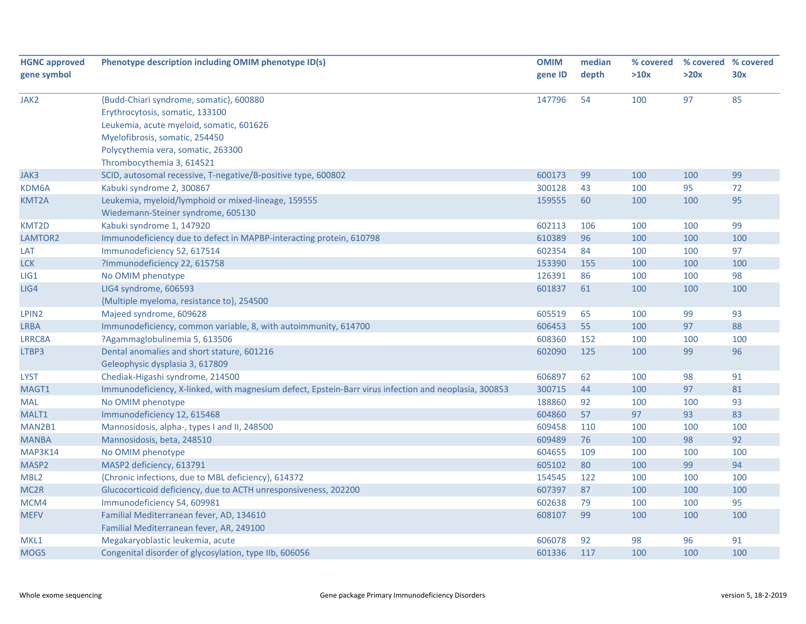| <b>HGNC approved</b> | Phenotype description including OMIM phenotype ID(s)                                                  | <b>OMIM</b> | median | % covered |      | % covered % covered |
|----------------------|-------------------------------------------------------------------------------------------------------|-------------|--------|-----------|------|---------------------|
| gene symbol          |                                                                                                       | gene ID     | depth  | >10x      | >20x | 30x                 |
|                      |                                                                                                       |             |        |           |      |                     |
| JAK2                 | {Budd-Chiari syndrome, somatic}, 600880                                                               | 147796      | 54     | 100       | 97   | 85                  |
|                      | Erythrocytosis, somatic, 133100                                                                       |             |        |           |      |                     |
|                      | Leukemia, acute myeloid, somatic, 601626                                                              |             |        |           |      |                     |
|                      | Myelofibrosis, somatic, 254450                                                                        |             |        |           |      |                     |
|                      | Polycythemia vera, somatic, 263300                                                                    |             |        |           |      |                     |
|                      | Thrombocythemia 3, 614521                                                                             |             |        |           |      |                     |
| JAK3                 | SCID, autosomal recessive, T-negative/B-positive type, 600802                                         | 600173      | 99     | 100       | 100  | 99                  |
| KDM6A                | Kabuki syndrome 2, 300867                                                                             | 300128      | 43     | 100       | 95   | 72                  |
| KMT2A                | Leukemia, myeloid/lymphoid or mixed-lineage, 159555                                                   | 159555      | 60     | 100       | 100  | 95                  |
|                      | Wiedemann-Steiner syndrome, 605130                                                                    |             |        |           |      |                     |
| KMT2D                | Kabuki syndrome 1, 147920                                                                             | 602113      | 106    | 100       | 100  | 99                  |
| LAMTOR2              | Immunodeficiency due to defect in MAPBP-interacting protein, 610798                                   | 610389      | 96     | 100       | 100  | 100                 |
| LAT                  | Immunodeficiency 52, 617514                                                                           | 602354      | 84     | 100       | 100  | 97                  |
| <b>LCK</b>           | ?Immunodeficiency 22, 615758                                                                          | 153390      | 155    | 100       | 100  | 100                 |
| LIG1                 | No OMIM phenotype                                                                                     | 126391      | 86     | 100       | 100  | 98                  |
| LIG4                 | LIG4 syndrome, 606593                                                                                 | 601837      | 61     | 100       | 100  | 100                 |
|                      | {Multiple myeloma, resistance to}, 254500                                                             |             |        |           |      |                     |
| LPIN2                | Majeed syndrome, 609628                                                                               | 605519      | 65     | 100       | 99   | 93                  |
| <b>LRBA</b>          | Immunodeficiency, common variable, 8, with autoimmunity, 614700                                       | 606453      | 55     | 100       | 97   | 88                  |
| LRRC8A               | ?Agammaglobulinemia 5, 613506                                                                         | 608360      | 152    | 100       | 100  | 100                 |
| LTBP3                | Dental anomalies and short stature, 601216                                                            | 602090      | 125    | 100       | 99   | 96                  |
|                      | Geleophysic dysplasia 3, 617809                                                                       |             |        |           |      |                     |
| <b>LYST</b>          | Chediak-Higashi syndrome, 214500                                                                      | 606897      | 62     | 100       | 98   | 91                  |
| MAGT1                | Immunodeficiency, X-linked, with magnesium defect, Epstein-Barr virus infection and neoplasia, 300853 | 300715      | 44     | 100       | 97   | 81                  |
| <b>MAL</b>           | No OMIM phenotype                                                                                     | 188860      | 92     | 100       | 100  | 93                  |
| MALT1                | Immunodeficiency 12, 615468                                                                           | 604860      | 57     | 97        | 93   | 83                  |
| MAN2B1               | Mannosidosis, alpha-, types I and II, 248500                                                          | 609458      | 110    | 100       | 100  | 100                 |
| <b>MANBA</b>         | Mannosidosis, beta, 248510                                                                            | 609489      | 76     | 100       | 98   | 92                  |
| MAP3K14              | No OMIM phenotype                                                                                     | 604655      | 109    | 100       | 100  | 100                 |
| MASP2                | MASP2 deficiency, 613791                                                                              | 605102      | 80     | 100       | 99   | 94                  |
| MBL <sub>2</sub>     | {Chronic infections, due to MBL deficiency}, 614372                                                   | 154545      | 122    | 100       | 100  | 100                 |
| MC <sub>2R</sub>     | Glucocorticoid deficiency, due to ACTH unresponsiveness, 202200                                       | 607397      | 87     | 100       | 100  | 100                 |
| MCM4                 | Immunodeficiency 54, 609981                                                                           | 602638      | 79     | 100       | 100  | 95                  |
| <b>MEFV</b>          | Familial Mediterranean fever, AD, 134610                                                              | 608107      | 99     | 100       | 100  | 100                 |
|                      | Familial Mediterranean fever, AR, 249100                                                              |             |        |           |      |                     |
| MKL1                 | Megakaryoblastic leukemia, acute                                                                      | 606078      | 92     | 98        | 96   | 91                  |
| <b>MOGS</b>          | Congenital disorder of glycosylation, type IIb, 606056                                                | 601336      | 117    | 100       | 100  | 100                 |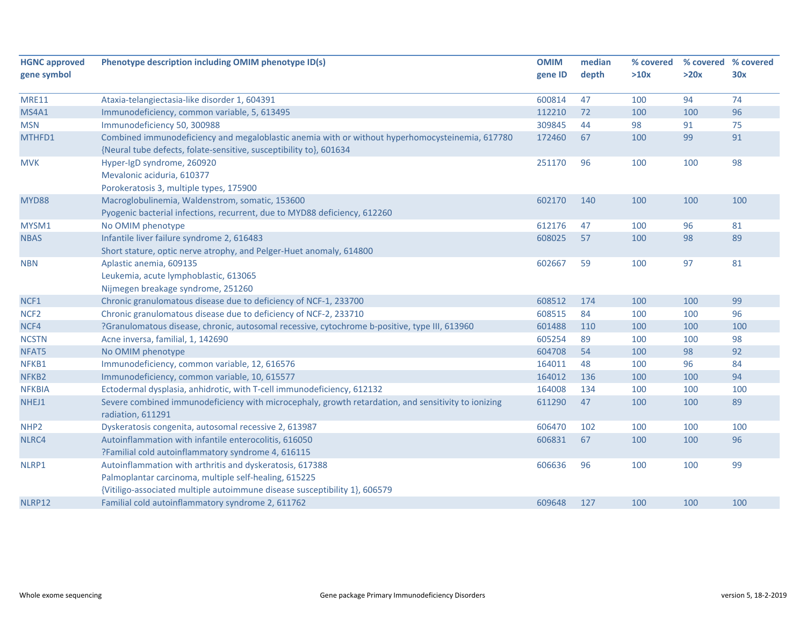| <b>HGNC approved</b> | Phenotype description including OMIM phenotype ID(s)                                                | <b>OMIM</b> | median | % covered | % covered % covered |     |
|----------------------|-----------------------------------------------------------------------------------------------------|-------------|--------|-----------|---------------------|-----|
| gene symbol          |                                                                                                     | gene ID     | depth  | >10x      | >20x                | 30x |
|                      |                                                                                                     |             |        |           |                     |     |
| <b>MRE11</b>         | Ataxia-telangiectasia-like disorder 1, 604391                                                       | 600814      | 47     | 100       | 94                  | 74  |
| <b>MS4A1</b>         | Immunodeficiency, common variable, 5, 613495                                                        | 112210      | 72     | 100       | 100                 | 96  |
| <b>MSN</b>           | Immunodeficiency 50, 300988                                                                         | 309845      | 44     | 98        | 91                  | 75  |
| MTHFD1               | Combined immunodeficiency and megaloblastic anemia with or without hyperhomocysteinemia, 617780     | 172460      | 67     | 100       | 99                  | 91  |
|                      | {Neural tube defects, folate-sensitive, susceptibility to}, 601634                                  |             |        |           |                     |     |
| <b>MVK</b>           | Hyper-IgD syndrome, 260920                                                                          | 251170      | 96     | 100       | 100                 | 98  |
|                      | Mevalonic aciduria, 610377                                                                          |             |        |           |                     |     |
|                      | Porokeratosis 3, multiple types, 175900                                                             |             |        |           |                     |     |
| <b>MYD88</b>         | Macroglobulinemia, Waldenstrom, somatic, 153600                                                     | 602170      | 140    | 100       | 100                 | 100 |
|                      | Pyogenic bacterial infections, recurrent, due to MYD88 deficiency, 612260                           |             |        |           |                     |     |
| MYSM1                | No OMIM phenotype                                                                                   | 612176      | 47     | 100       | 96                  | 81  |
| <b>NBAS</b>          | Infantile liver failure syndrome 2, 616483                                                          | 608025      | 57     | 100       | 98                  | 89  |
|                      | Short stature, optic nerve atrophy, and Pelger-Huet anomaly, 614800                                 |             |        |           |                     |     |
| <b>NBN</b>           | Aplastic anemia, 609135                                                                             | 602667      | 59     | 100       | 97                  | 81  |
|                      | Leukemia, acute lymphoblastic, 613065                                                               |             |        |           |                     |     |
|                      | Nijmegen breakage syndrome, 251260                                                                  |             |        |           |                     |     |
| NCF1                 | Chronic granulomatous disease due to deficiency of NCF-1, 233700                                    | 608512      | 174    | 100       | 100                 | 99  |
| NCF <sub>2</sub>     | Chronic granulomatous disease due to deficiency of NCF-2, 233710                                    | 608515      | 84     | 100       | 100                 | 96  |
| NCF4                 | ?Granulomatous disease, chronic, autosomal recessive, cytochrome b-positive, type III, 613960       | 601488      | 110    | 100       | 100                 | 100 |
| <b>NCSTN</b>         | Acne inversa, familial, 1, 142690                                                                   | 605254      | 89     | 100       | 100                 | 98  |
| NFAT5                | No OMIM phenotype                                                                                   | 604708      | 54     | 100       | 98                  | 92  |
| NFKB1                | Immunodeficiency, common variable, 12, 616576                                                       | 164011      | 48     | 100       | 96                  | 84  |
| NFKB <sub>2</sub>    | Immunodeficiency, common variable, 10, 615577                                                       | 164012      | 136    | 100       | 100                 | 94  |
| <b>NFKBIA</b>        | Ectodermal dysplasia, anhidrotic, with T-cell immunodeficiency, 612132                              | 164008      | 134    | 100       | 100                 | 100 |
| NHEJ1                | Severe combined immunodeficiency with microcephaly, growth retardation, and sensitivity to ionizing | 611290      | 47     | 100       | 100                 | 89  |
|                      | radiation, 611291                                                                                   |             |        |           |                     |     |
| NHP <sub>2</sub>     | Dyskeratosis congenita, autosomal recessive 2, 613987                                               | 606470      | 102    | 100       | 100                 | 100 |
| NLRC4                | Autoinflammation with infantile enterocolitis, 616050                                               | 606831      | 67     | 100       | 100                 | 96  |
|                      | ?Familial cold autoinflammatory syndrome 4, 616115                                                  |             |        |           |                     |     |
| NLRP1                | Autoinflammation with arthritis and dyskeratosis, 617388                                            | 606636      | 96     | 100       | 100                 | 99  |
|                      | Palmoplantar carcinoma, multiple self-healing, 615225                                               |             |        |           |                     |     |
|                      | {Vitiligo-associated multiple autoimmune disease susceptibility 1}, 606579                          |             |        |           |                     |     |
|                      |                                                                                                     |             |        |           |                     |     |
| NLRP12               | Familial cold autoinflammatory syndrome 2, 611762                                                   | 609648      | 127    | 100       | 100                 | 100 |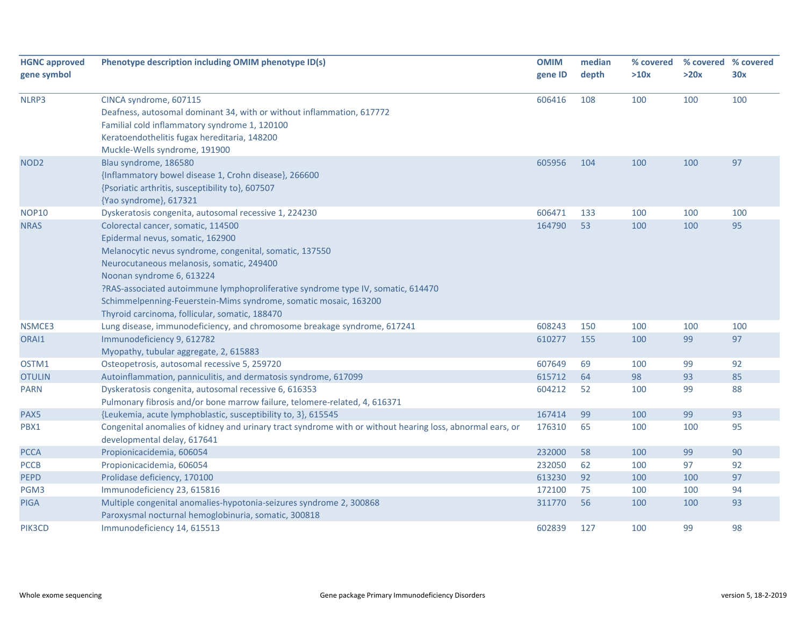| <b>HGNC approved</b> | Phenotype description including OMIM phenotype ID(s)                                                      | <b>OMIM</b> | median | % covered | % covered % covered |     |
|----------------------|-----------------------------------------------------------------------------------------------------------|-------------|--------|-----------|---------------------|-----|
| gene symbol          |                                                                                                           | gene ID     | depth  | >10x      | >20x                | 30x |
|                      |                                                                                                           |             |        |           |                     |     |
| NLRP3                | CINCA syndrome, 607115                                                                                    | 606416      | 108    | 100       | 100                 | 100 |
|                      | Deafness, autosomal dominant 34, with or without inflammation, 617772                                     |             |        |           |                     |     |
|                      | Familial cold inflammatory syndrome 1, 120100                                                             |             |        |           |                     |     |
|                      | Keratoendothelitis fugax hereditaria, 148200                                                              |             |        |           |                     |     |
|                      | Muckle-Wells syndrome, 191900                                                                             |             |        |           |                     |     |
| NOD <sub>2</sub>     | Blau syndrome, 186580                                                                                     | 605956      | 104    | 100       | 100                 | 97  |
|                      | {Inflammatory bowel disease 1, Crohn disease}, 266600                                                     |             |        |           |                     |     |
|                      | {Psoriatic arthritis, susceptibility to}, 607507                                                          |             |        |           |                     |     |
|                      | {Yao syndrome}, 617321                                                                                    |             |        |           |                     |     |
| <b>NOP10</b>         | Dyskeratosis congenita, autosomal recessive 1, 224230                                                     | 606471      | 133    | 100       | 100                 | 100 |
| <b>NRAS</b>          | Colorectal cancer, somatic, 114500                                                                        | 164790      | 53     | 100       | 100                 | 95  |
|                      | Epidermal nevus, somatic, 162900                                                                          |             |        |           |                     |     |
|                      | Melanocytic nevus syndrome, congenital, somatic, 137550                                                   |             |        |           |                     |     |
|                      | Neurocutaneous melanosis, somatic, 249400                                                                 |             |        |           |                     |     |
|                      | Noonan syndrome 6, 613224                                                                                 |             |        |           |                     |     |
|                      | ?RAS-associated autoimmune lymphoproliferative syndrome type IV, somatic, 614470                          |             |        |           |                     |     |
|                      | Schimmelpenning-Feuerstein-Mims syndrome, somatic mosaic, 163200                                          |             |        |           |                     |     |
|                      | Thyroid carcinoma, follicular, somatic, 188470                                                            |             |        |           |                     |     |
| NSMCE3               | Lung disease, immunodeficiency, and chromosome breakage syndrome, 617241                                  | 608243      | 150    | 100       | 100                 | 100 |
| ORAI1                | Immunodeficiency 9, 612782                                                                                | 610277      | 155    | 100       | 99                  | 97  |
|                      | Myopathy, tubular aggregate, 2, 615883                                                                    |             |        |           |                     |     |
| OSTM1                | Osteopetrosis, autosomal recessive 5, 259720                                                              | 607649      | 69     | 100       | 99                  | 92  |
| <b>OTULIN</b>        | Autoinflammation, panniculitis, and dermatosis syndrome, 617099                                           | 615712      | 64     | 98        | 93                  | 85  |
| PARN                 | Dyskeratosis congenita, autosomal recessive 6, 616353                                                     | 604212      | 52     | 100       | 99                  | 88  |
|                      | Pulmonary fibrosis and/or bone marrow failure, telomere-related, 4, 616371                                |             |        |           |                     |     |
| PAX5                 | {Leukemia, acute lymphoblastic, susceptibility to, 3}, 615545                                             | 167414      | 99     | 100       | 99                  | 93  |
| PBX1                 | Congenital anomalies of kidney and urinary tract syndrome with or without hearing loss, abnormal ears, or | 176310      | 65     | 100       | 100                 | 95  |
|                      | developmental delay, 617641                                                                               |             |        |           |                     |     |
| <b>PCCA</b>          | Propionicacidemia, 606054                                                                                 | 232000      | 58     | 100       | 99                  | 90  |
| <b>PCCB</b>          | Propionicacidemia, 606054                                                                                 | 232050      | 62     | 100       | 97                  | 92  |
| <b>PEPD</b>          | Prolidase deficiency, 170100                                                                              | 613230      | 92     | 100       | 100                 | 97  |
| PGM3                 | Immunodeficiency 23, 615816                                                                               | 172100      | 75     | 100       | 100                 | 94  |
| PIGA                 | Multiple congenital anomalies-hypotonia-seizures syndrome 2, 300868                                       | 311770      | 56     | 100       | 100                 | 93  |
|                      | Paroxysmal nocturnal hemoglobinuria, somatic, 300818                                                      |             |        |           |                     |     |
| PIK3CD               | Immunodeficiency 14, 615513                                                                               | 602839      | 127    | 100       | 99                  | 98  |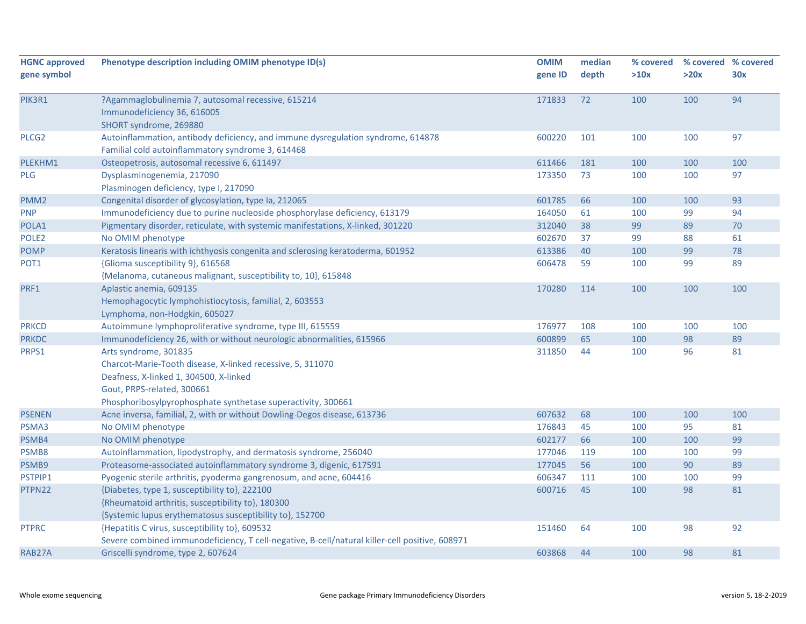| <b>HGNC approved</b> | Phenotype description including OMIM phenotype ID(s)                                           | <b>OMIM</b> | median | % covered | % covered % covered |     |
|----------------------|------------------------------------------------------------------------------------------------|-------------|--------|-----------|---------------------|-----|
| gene symbol          |                                                                                                | gene ID     | depth  | >10x      | >20x                | 30x |
|                      |                                                                                                |             |        |           |                     |     |
| PIK3R1               | ?Agammaglobulinemia 7, autosomal recessive, 615214                                             | 171833      | 72     | 100       | 100                 | 94  |
|                      | Immunodeficiency 36, 616005                                                                    |             |        |           |                     |     |
|                      | SHORT syndrome, 269880                                                                         |             |        |           |                     |     |
| PLCG <sub>2</sub>    | Autoinflammation, antibody deficiency, and immune dysregulation syndrome, 614878               | 600220      | 101    | 100       | 100                 | 97  |
|                      | Familial cold autoinflammatory syndrome 3, 614468                                              |             |        |           |                     |     |
| PLEKHM1              | Osteopetrosis, autosomal recessive 6, 611497                                                   | 611466      | 181    | 100       | 100                 | 100 |
| <b>PLG</b>           | Dysplasminogenemia, 217090                                                                     | 173350      | 73     | 100       | 100                 | 97  |
|                      | Plasminogen deficiency, type I, 217090                                                         |             |        |           |                     |     |
| PMM <sub>2</sub>     | Congenital disorder of glycosylation, type Ia, 212065                                          | 601785      | 66     | 100       | 100                 | 93  |
| <b>PNP</b>           | Immunodeficiency due to purine nucleoside phosphorylase deficiency, 613179                     | 164050      | 61     | 100       | 99                  | 94  |
| POLA1                | Pigmentary disorder, reticulate, with systemic manifestations, X-linked, 301220                | 312040      | 38     | 99        | 89                  | 70  |
| POLE <sub>2</sub>    | No OMIM phenotype                                                                              | 602670      | 37     | 99        | 88                  | 61  |
| <b>POMP</b>          | Keratosis linearis with ichthyosis congenita and sclerosing keratoderma, 601952                | 613386      | 40     | 100       | 99                  | 78  |
| POT1                 | {Glioma susceptibility 9}, 616568                                                              | 606478      | 59     | 100       | 99                  | 89  |
|                      | {Melanoma, cutaneous malignant, susceptibility to, 10}, 615848                                 |             |        |           |                     |     |
| PRF1                 | Aplastic anemia, 609135                                                                        | 170280      | 114    | 100       | 100                 | 100 |
|                      | Hemophagocytic lymphohistiocytosis, familial, 2, 603553                                        |             |        |           |                     |     |
|                      | Lymphoma, non-Hodgkin, 605027                                                                  |             |        |           |                     |     |
| <b>PRKCD</b>         | Autoimmune lymphoproliferative syndrome, type III, 615559                                      | 176977      | 108    | 100       | 100                 | 100 |
| <b>PRKDC</b>         | Immunodeficiency 26, with or without neurologic abnormalities, 615966                          | 600899      | 65     | 100       | 98                  | 89  |
| PRPS1                | Arts syndrome, 301835                                                                          | 311850      | 44     | 100       | 96                  | 81  |
|                      | Charcot-Marie-Tooth disease, X-linked recessive, 5, 311070                                     |             |        |           |                     |     |
|                      | Deafness, X-linked 1, 304500, X-linked                                                         |             |        |           |                     |     |
|                      | Gout, PRPS-related, 300661                                                                     |             |        |           |                     |     |
|                      | Phosphoribosylpyrophosphate synthetase superactivity, 300661                                   |             |        |           |                     |     |
| <b>PSENEN</b>        | Acne inversa, familial, 2, with or without Dowling-Degos disease, 613736                       | 607632      | 68     | 100       | 100                 | 100 |
| PSMA3                | No OMIM phenotype                                                                              | 176843      | 45     | 100       | 95                  | 81  |
| PSMB4                | No OMIM phenotype                                                                              | 602177      | 66     | 100       | 100                 | 99  |
| PSMB8                | Autoinflammation, lipodystrophy, and dermatosis syndrome, 256040                               | 177046      | 119    | 100       | 100                 | 99  |
| PSMB9                | Proteasome-associated autoinflammatory syndrome 3, digenic, 617591                             | 177045      | 56     | 100       | 90                  | 89  |
| PSTPIP1              | Pyogenic sterile arthritis, pyoderma gangrenosum, and acne, 604416                             | 606347      | 111    | 100       | 100                 | 99  |
| PTPN22               | {Diabetes, type 1, susceptibility to}, 222100                                                  | 600716      | 45     | 100       | 98                  | 81  |
|                      | {Rheumatoid arthritis, susceptibility to}, 180300                                              |             |        |           |                     |     |
|                      | {Systemic lupus erythematosus susceptibility to}, 152700                                       |             |        |           |                     |     |
| <b>PTPRC</b>         | {Hepatitis C virus, susceptibility to}, 609532                                                 | 151460      | 64     | 100       | 98                  | 92  |
|                      | Severe combined immunodeficiency, T cell-negative, B-cell/natural killer-cell positive, 608971 |             |        |           |                     |     |
| RAB27A               | Griscelli syndrome, type 2, 607624                                                             | 603868      | 44     | 100       | 98                  | 81  |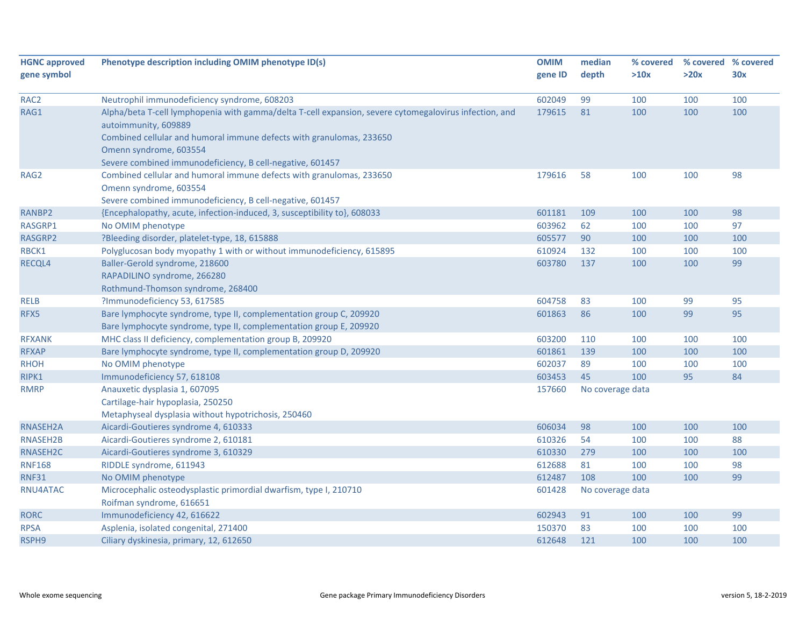| <b>HGNC approved</b> | Phenotype description including OMIM phenotype ID(s)                                                   | <b>OMIM</b> | median           | % covered |      | % covered % covered |
|----------------------|--------------------------------------------------------------------------------------------------------|-------------|------------------|-----------|------|---------------------|
| gene symbol          |                                                                                                        | gene ID     | depth            | >10x      | >20x | 30x                 |
|                      |                                                                                                        |             |                  |           |      |                     |
| RAC <sub>2</sub>     | Neutrophil immunodeficiency syndrome, 608203                                                           | 602049      | 99               | 100       | 100  | 100                 |
| RAG1                 | Alpha/beta T-cell lymphopenia with gamma/delta T-cell expansion, severe cytomegalovirus infection, and | 179615      | 81               | 100       | 100  | 100                 |
|                      | autoimmunity, 609889                                                                                   |             |                  |           |      |                     |
|                      | Combined cellular and humoral immune defects with granulomas, 233650                                   |             |                  |           |      |                     |
|                      | Omenn syndrome, 603554                                                                                 |             |                  |           |      |                     |
|                      | Severe combined immunodeficiency, B cell-negative, 601457                                              |             |                  |           |      |                     |
| RAG2                 | Combined cellular and humoral immune defects with granulomas, 233650                                   | 179616      | 58               | 100       | 100  | 98                  |
|                      | Omenn syndrome, 603554                                                                                 |             |                  |           |      |                     |
|                      | Severe combined immunodeficiency, B cell-negative, 601457                                              |             |                  |           |      |                     |
| RANBP2               | {Encephalopathy, acute, infection-induced, 3, susceptibility to}, 608033                               | 601181      | 109              | 100       | 100  | 98                  |
| RASGRP1              | No OMIM phenotype                                                                                      | 603962      | 62               | 100       | 100  | 97                  |
| RASGRP2              | ?Bleeding disorder, platelet-type, 18, 615888                                                          | 605577      | 90               | 100       | 100  | 100                 |
| RBCK1                | Polyglucosan body myopathy 1 with or without immunodeficiency, 615895                                  | 610924      | 132              | 100       | 100  | 100                 |
| RECQL4               | Baller-Gerold syndrome, 218600                                                                         | 603780      | 137              | 100       | 100  | 99                  |
|                      | RAPADILINO syndrome, 266280                                                                            |             |                  |           |      |                     |
|                      | Rothmund-Thomson syndrome, 268400                                                                      |             |                  |           |      |                     |
| <b>RELB</b>          | ?Immunodeficiency 53, 617585                                                                           | 604758      | 83               | 100       | 99   | 95                  |
| RFX5                 | Bare lymphocyte syndrome, type II, complementation group C, 209920                                     | 601863      | 86               | 100       | 99   | 95                  |
|                      | Bare lymphocyte syndrome, type II, complementation group E, 209920                                     |             |                  |           |      |                     |
| <b>RFXANK</b>        | MHC class II deficiency, complementation group B, 209920                                               | 603200      | 110              | 100       | 100  | 100                 |
| <b>RFXAP</b>         | Bare lymphocyte syndrome, type II, complementation group D, 209920                                     | 601861      | 139              | 100       | 100  | 100                 |
| <b>RHOH</b>          | No OMIM phenotype                                                                                      | 602037      | 89               | 100       | 100  | 100                 |
| RIPK1                | Immunodeficiency 57, 618108                                                                            | 603453      | 45               | 100       | 95   | 84                  |
| <b>RMRP</b>          | Anauxetic dysplasia 1, 607095                                                                          | 157660      | No coverage data |           |      |                     |
|                      | Cartilage-hair hypoplasia, 250250                                                                      |             |                  |           |      |                     |
|                      | Metaphyseal dysplasia without hypotrichosis, 250460                                                    |             |                  |           |      |                     |
| RNASEH2A             | Aicardi-Goutieres syndrome 4, 610333                                                                   | 606034      | 98               | 100       | 100  | 100                 |
| RNASEH2B             | Aicardi-Goutieres syndrome 2, 610181                                                                   | 610326      | 54               | 100       | 100  | 88                  |
| RNASEH2C             | Aicardi-Goutieres syndrome 3, 610329                                                                   | 610330      | 279              | 100       | 100  | 100                 |
| <b>RNF168</b>        | RIDDLE syndrome, 611943                                                                                | 612688      | 81               | 100       | 100  | 98                  |
| <b>RNF31</b>         | No OMIM phenotype                                                                                      | 612487      | 108              | 100       | 100  | 99                  |
| RNU4ATAC             | Microcephalic osteodysplastic primordial dwarfism, type I, 210710                                      | 601428      | No coverage data |           |      |                     |
|                      | Roifman syndrome, 616651                                                                               |             |                  |           |      |                     |
| <b>RORC</b>          | Immunodeficiency 42, 616622                                                                            | 602943      | 91               | 100       | 100  | 99                  |
| <b>RPSA</b>          | Asplenia, isolated congenital, 271400                                                                  | 150370      | 83               | 100       | 100  | 100                 |
| RSPH9                | Ciliary dyskinesia, primary, 12, 612650                                                                | 612648      | 121              | 100       | 100  | 100                 |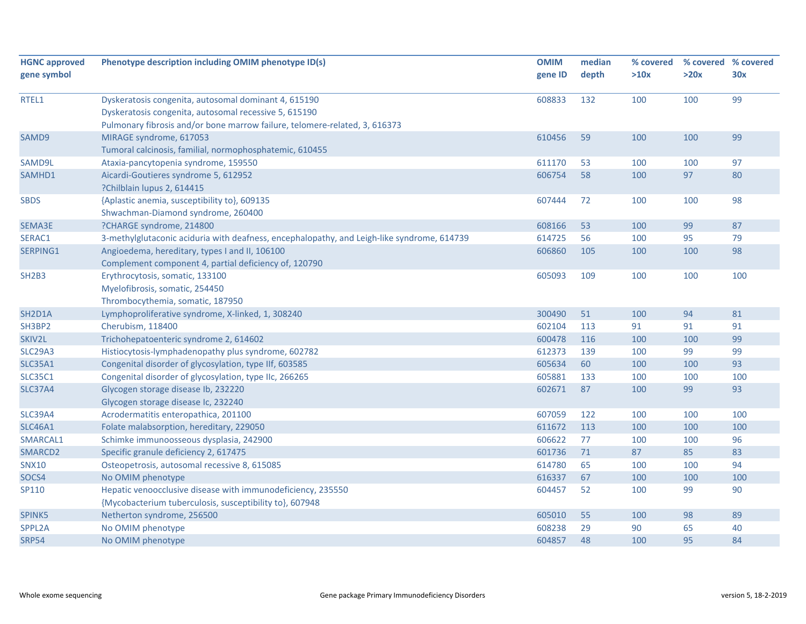| <b>HGNC approved</b> | Phenotype description including OMIM phenotype ID(s)                                       | <b>OMIM</b> | median | % covered | % covered % covered |     |
|----------------------|--------------------------------------------------------------------------------------------|-------------|--------|-----------|---------------------|-----|
| gene symbol          |                                                                                            | gene ID     | depth  | >10x      | >20x                | 30x |
|                      |                                                                                            |             |        |           |                     |     |
| RTEL1                | Dyskeratosis congenita, autosomal dominant 4, 615190                                       | 608833      | 132    | 100       | 100                 | 99  |
|                      | Dyskeratosis congenita, autosomal recessive 5, 615190                                      |             |        |           |                     |     |
|                      | Pulmonary fibrosis and/or bone marrow failure, telomere-related, 3, 616373                 |             |        |           |                     |     |
| SAMD9                | MIRAGE syndrome, 617053                                                                    | 610456      | 59     | 100       | 100                 | 99  |
|                      | Tumoral calcinosis, familial, normophosphatemic, 610455                                    |             |        |           |                     |     |
| SAMD9L               | Ataxia-pancytopenia syndrome, 159550                                                       | 611170      | 53     | 100       | 100                 | 97  |
| SAMHD1               | Aicardi-Goutieres syndrome 5, 612952                                                       | 606754      | 58     | 100       | 97                  | 80  |
|                      | ?Chilblain lupus 2, 614415                                                                 |             |        |           |                     |     |
| <b>SBDS</b>          | {Aplastic anemia, susceptibility to}, 609135                                               | 607444      | 72     | 100       | 100                 | 98  |
|                      | Shwachman-Diamond syndrome, 260400                                                         |             |        |           |                     |     |
| SEMA3E               | ?CHARGE syndrome, 214800                                                                   | 608166      | 53     | 100       | 99                  | 87  |
| SERAC1               | 3-methylglutaconic aciduria with deafness, encephalopathy, and Leigh-like syndrome, 614739 | 614725      | 56     | 100       | 95                  | 79  |
| SERPING1             | Angioedema, hereditary, types I and II, 106100                                             | 606860      | 105    | 100       | 100                 | 98  |
|                      | Complement component 4, partial deficiency of, 120790                                      |             |        |           |                     |     |
| <b>SH2B3</b>         | Erythrocytosis, somatic, 133100                                                            | 605093      | 109    | 100       | 100                 | 100 |
|                      | Myelofibrosis, somatic, 254450                                                             |             |        |           |                     |     |
|                      | Thrombocythemia, somatic, 187950                                                           |             |        |           |                     |     |
| SH2D1A               | Lymphoproliferative syndrome, X-linked, 1, 308240                                          | 300490      | 51     | 100       | 94                  | 81  |
| SH3BP2               | Cherubism, 118400                                                                          | 602104      | 113    | 91        | 91                  | 91  |
| SKIV2L               | Trichohepatoenteric syndrome 2, 614602                                                     | 600478      | 116    | 100       | 100                 | 99  |
| <b>SLC29A3</b>       | Histiocytosis-lymphadenopathy plus syndrome, 602782                                        | 612373      | 139    | 100       | 99                  | 99  |
| <b>SLC35A1</b>       | Congenital disorder of glycosylation, type IIf, 603585                                     | 605634      | 60     | 100       | 100                 | 93  |
| <b>SLC35C1</b>       | Congenital disorder of glycosylation, type IIc, 266265                                     | 605881      | 133    | 100       | 100                 | 100 |
| <b>SLC37A4</b>       | Glycogen storage disease Ib, 232220                                                        | 602671      | 87     | 100       | 99                  | 93  |
|                      | Glycogen storage disease Ic, 232240                                                        |             |        |           |                     |     |
| <b>SLC39A4</b>       | Acrodermatitis enteropathica, 201100                                                       | 607059      | 122    | 100       | 100                 | 100 |
| <b>SLC46A1</b>       | Folate malabsorption, hereditary, 229050                                                   | 611672      | 113    | 100       | 100                 | 100 |
| SMARCAL1             | Schimke immunoosseous dysplasia, 242900                                                    | 606622      | 77     | 100       | 100                 | 96  |
| SMARCD2              | Specific granule deficiency 2, 617475                                                      | 601736      | 71     | 87        | 85                  | 83  |
| <b>SNX10</b>         | Osteopetrosis, autosomal recessive 8, 615085                                               | 614780      | 65     | 100       | 100                 | 94  |
| SOCS4                | No OMIM phenotype                                                                          | 616337      | 67     | 100       | 100                 | 100 |
| SP110                | Hepatic venoocclusive disease with immunodeficiency, 235550                                | 604457      | 52     | 100       | 99                  | 90  |
|                      | {Mycobacterium tuberculosis, susceptibility to}, 607948                                    |             |        |           |                     |     |
| SPINK5               | Netherton syndrome, 256500                                                                 | 605010      | 55     | 100       | 98                  | 89  |
| SPPL2A               | No OMIM phenotype                                                                          | 608238      | 29     | 90        | 65                  | 40  |
| <b>SRP54</b>         | No OMIM phenotype                                                                          | 604857      | 48     | 100       | 95                  | 84  |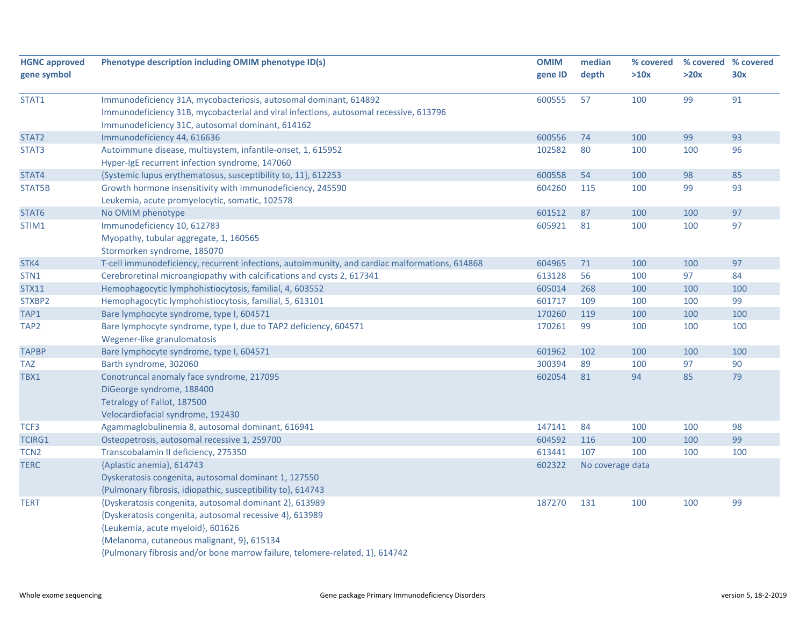| <b>HGNC approved</b> | Phenotype description including OMIM phenotype ID(s)                                           | <b>OMIM</b> | median           | % covered |      | % covered % covered |
|----------------------|------------------------------------------------------------------------------------------------|-------------|------------------|-----------|------|---------------------|
| gene symbol          |                                                                                                | gene ID     | depth            | >10x      | >20x | 30x                 |
| STAT1                | Immunodeficiency 31A, mycobacteriosis, autosomal dominant, 614892                              | 600555      | 57               | 100       | 99   | 91                  |
|                      | Immunodeficiency 31B, mycobacterial and viral infections, autosomal recessive, 613796          |             |                  |           |      |                     |
|                      | Immunodeficiency 31C, autosomal dominant, 614162                                               |             |                  |           |      |                     |
| STAT <sub>2</sub>    | Immunodeficiency 44, 616636                                                                    | 600556      | 74               | 100       | 99   | 93                  |
| STAT3                | Autoimmune disease, multisystem, infantile-onset, 1, 615952                                    | 102582      | 80               | 100       | 100  | 96                  |
|                      | Hyper-IgE recurrent infection syndrome, 147060                                                 |             |                  |           |      |                     |
| STAT4                | {Systemic lupus erythematosus, susceptibility to, 11}, 612253                                  | 600558      | 54               | 100       | 98   | 85                  |
| STAT5B               | Growth hormone insensitivity with immunodeficiency, 245590                                     | 604260      | 115              | 100       | 99   | 93                  |
|                      | Leukemia, acute promyelocytic, somatic, 102578                                                 |             |                  |           |      |                     |
| STAT6                | No OMIM phenotype                                                                              | 601512      | 87               | 100       | 100  | 97                  |
| STIM1                | Immunodeficiency 10, 612783                                                                    | 605921      | 81               | 100       | 100  | 97                  |
|                      | Myopathy, tubular aggregate, 1, 160565                                                         |             |                  |           |      |                     |
|                      | Stormorken syndrome, 185070                                                                    |             |                  |           |      |                     |
| STK4                 | T-cell immunodeficiency, recurrent infections, autoimmunity, and cardiac malformations, 614868 | 604965      | 71               | 100       | 100  | 97                  |
| STN <sub>1</sub>     | Cerebroretinal microangiopathy with calcifications and cysts 2, 617341                         | 613128      | 56               | 100       | 97   | 84                  |
| <b>STX11</b>         | Hemophagocytic lymphohistiocytosis, familial, 4, 603552                                        | 605014      | 268              | 100       | 100  | 100                 |
| STXBP2               | Hemophagocytic lymphohistiocytosis, familial, 5, 613101                                        | 601717      | 109              | 100       | 100  | 99                  |
| TAP1                 | Bare lymphocyte syndrome, type I, 604571                                                       | 170260      | 119              | 100       | 100  | 100                 |
| TAP <sub>2</sub>     | Bare lymphocyte syndrome, type I, due to TAP2 deficiency, 604571                               | 170261      | 99               | 100       | 100  | 100                 |
|                      | Wegener-like granulomatosis                                                                    |             |                  |           |      |                     |
| <b>TAPBP</b>         | Bare lymphocyte syndrome, type I, 604571                                                       | 601962      | 102              | 100       | 100  | 100                 |
| <b>TAZ</b>           | Barth syndrome, 302060                                                                         | 300394      | 89               | 100       | 97   | 90                  |
| TBX1                 | Conotruncal anomaly face syndrome, 217095                                                      | 602054      | 81               | 94        | 85   | 79                  |
|                      | DiGeorge syndrome, 188400                                                                      |             |                  |           |      |                     |
|                      | Tetralogy of Fallot, 187500                                                                    |             |                  |           |      |                     |
|                      | Velocardiofacial syndrome, 192430                                                              |             |                  |           |      |                     |
| TCF3                 | Agammaglobulinemia 8, autosomal dominant, 616941                                               | 147141      | 84               | 100       | 100  | 98                  |
| <b>TCIRG1</b>        | Osteopetrosis, autosomal recessive 1, 259700                                                   | 604592      | 116              | 100       | 100  | 99                  |
| TCN <sub>2</sub>     | Transcobalamin II deficiency, 275350                                                           | 613441      | 107              | 100       | 100  | 100                 |
| <b>TERC</b>          | {Aplastic anemia}, 614743                                                                      | 602322      | No coverage data |           |      |                     |
|                      | Dyskeratosis congenita, autosomal dominant 1, 127550                                           |             |                  |           |      |                     |
|                      | {Pulmonary fibrosis, idiopathic, susceptibility to}, 614743                                    |             |                  |           |      |                     |
| <b>TERT</b>          | {Dyskeratosis congenita, autosomal dominant 2}, 613989                                         | 187270      | 131              | 100       | 100  | 99                  |
|                      | {Dyskeratosis congenita, autosomal recessive 4}, 613989                                        |             |                  |           |      |                     |
|                      | {Leukemia, acute myeloid}, 601626                                                              |             |                  |           |      |                     |
|                      | {Melanoma, cutaneous malignant, 9}, 615134                                                     |             |                  |           |      |                     |
|                      | {Pulmonary fibrosis and/or bone marrow failure, telomere-related, 1}, 614742                   |             |                  |           |      |                     |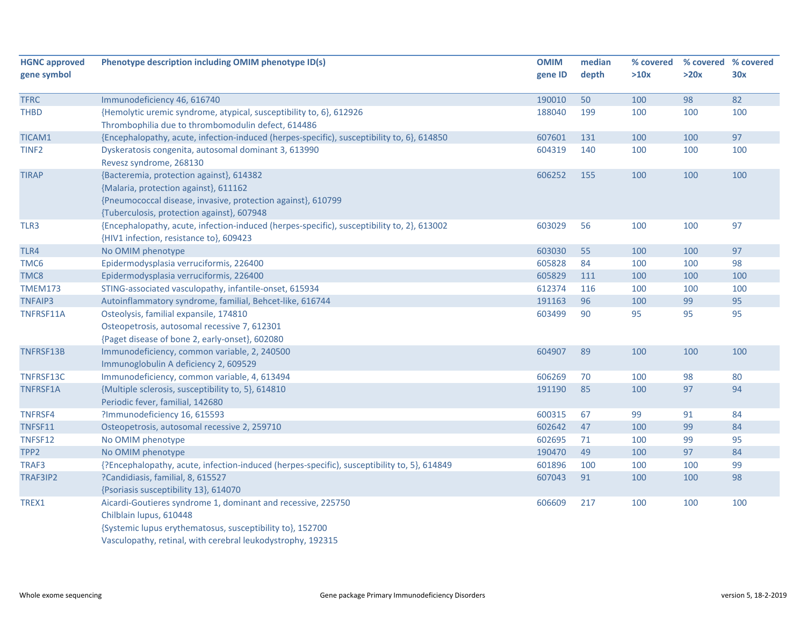| <b>HGNC approved</b> | Phenotype description including OMIM phenotype ID(s)                                        | <b>OMIM</b> | median | % covered | % covered % covered |     |
|----------------------|---------------------------------------------------------------------------------------------|-------------|--------|-----------|---------------------|-----|
| gene symbol          |                                                                                             | gene ID     | depth  | >10x      | >20x                | 30x |
|                      |                                                                                             |             |        |           |                     |     |
| <b>TFRC</b>          | Immunodeficiency 46, 616740                                                                 | 190010      | 50     | 100       | 98                  | 82  |
| THBD                 | {Hemolytic uremic syndrome, atypical, susceptibility to, 6}, 612926                         | 188040      | 199    | 100       | 100                 | 100 |
|                      | Thrombophilia due to thrombomodulin defect, 614486                                          |             |        |           |                     |     |
| TICAM1               | {Encephalopathy, acute, infection-induced (herpes-specific), susceptibility to, 6}, 614850  | 607601      | 131    | 100       | 100                 | 97  |
| TINF <sub>2</sub>    | Dyskeratosis congenita, autosomal dominant 3, 613990                                        | 604319      | 140    | 100       | 100                 | 100 |
|                      | Revesz syndrome, 268130                                                                     |             |        |           |                     |     |
| <b>TIRAP</b>         | {Bacteremia, protection against}, 614382                                                    | 606252      | 155    | 100       | 100                 | 100 |
|                      | {Malaria, protection against}, 611162                                                       |             |        |           |                     |     |
|                      | {Pneumococcal disease, invasive, protection against}, 610799                                |             |        |           |                     |     |
|                      | {Tuberculosis, protection against}, 607948                                                  |             |        |           |                     |     |
| TLR3                 | {Encephalopathy, acute, infection-induced (herpes-specific), susceptibility to, 2}, 613002  | 603029      | 56     | 100       | 100                 | 97  |
|                      | {HIV1 infection, resistance to}, 609423                                                     |             |        |           |                     |     |
| TLR4                 | No OMIM phenotype                                                                           | 603030      | 55     | 100       | 100                 | 97  |
| TMC6                 | Epidermodysplasia verruciformis, 226400                                                     | 605828      | 84     | 100       | 100                 | 98  |
| TMC8                 | Epidermodysplasia verruciformis, 226400                                                     | 605829      | 111    | 100       | 100                 | 100 |
| <b>TMEM173</b>       | STING-associated vasculopathy, infantile-onset, 615934                                      | 612374      | 116    | 100       | 100                 | 100 |
| <b>TNFAIP3</b>       | Autoinflammatory syndrome, familial, Behcet-like, 616744                                    | 191163      | 96     | 100       | 99                  | 95  |
| TNFRSF11A            | Osteolysis, familial expansile, 174810                                                      | 603499      | 90     | 95        | 95                  | 95  |
|                      | Osteopetrosis, autosomal recessive 7, 612301                                                |             |        |           |                     |     |
|                      | {Paget disease of bone 2, early-onset}, 602080                                              |             |        |           |                     |     |
| TNFRSF13B            | Immunodeficiency, common variable, 2, 240500                                                | 604907      | 89     | 100       | 100                 | 100 |
|                      | Immunoglobulin A deficiency 2, 609529                                                       |             |        |           |                     |     |
| TNFRSF13C            | Immunodeficiency, common variable, 4, 613494                                                | 606269      | 70     | 100       | 98                  | 80  |
| TNFRSF1A             | {Multiple sclerosis, susceptibility to, 5}, 614810                                          | 191190      | 85     | 100       | 97                  | 94  |
|                      | Periodic fever, familial, 142680                                                            |             |        |           |                     |     |
| TNFRSF4              | ?Immunodeficiency 16, 615593                                                                | 600315      | 67     | 99        | 91                  | 84  |
| TNFSF11              | Osteopetrosis, autosomal recessive 2, 259710                                                | 602642      | 47     | 100       | 99                  | 84  |
| TNFSF12              | No OMIM phenotype                                                                           | 602695      | 71     | 100       | 99                  | 95  |
| TPP2                 | No OMIM phenotype                                                                           | 190470      | 49     | 100       | 97                  | 84  |
| TRAF3                | {?Encephalopathy, acute, infection-induced (herpes-specific), susceptibility to, 5}, 614849 | 601896      | 100    | 100       | 100                 | 99  |
| TRAF3IP2             | ?Candidiasis, familial, 8, 615527                                                           | 607043      | 91     | 100       | 100                 | 98  |
|                      | {Psoriasis susceptibility 13}, 614070                                                       |             |        |           |                     |     |
| TREX1                | Aicardi-Goutieres syndrome 1, dominant and recessive, 225750                                | 606609      | 217    | 100       | 100                 | 100 |
|                      | Chilblain lupus, 610448                                                                     |             |        |           |                     |     |
|                      | {Systemic lupus erythematosus, susceptibility to}, 152700                                   |             |        |           |                     |     |
|                      | Vasculopathy, retinal, with cerebral leukodystrophy, 192315                                 |             |        |           |                     |     |